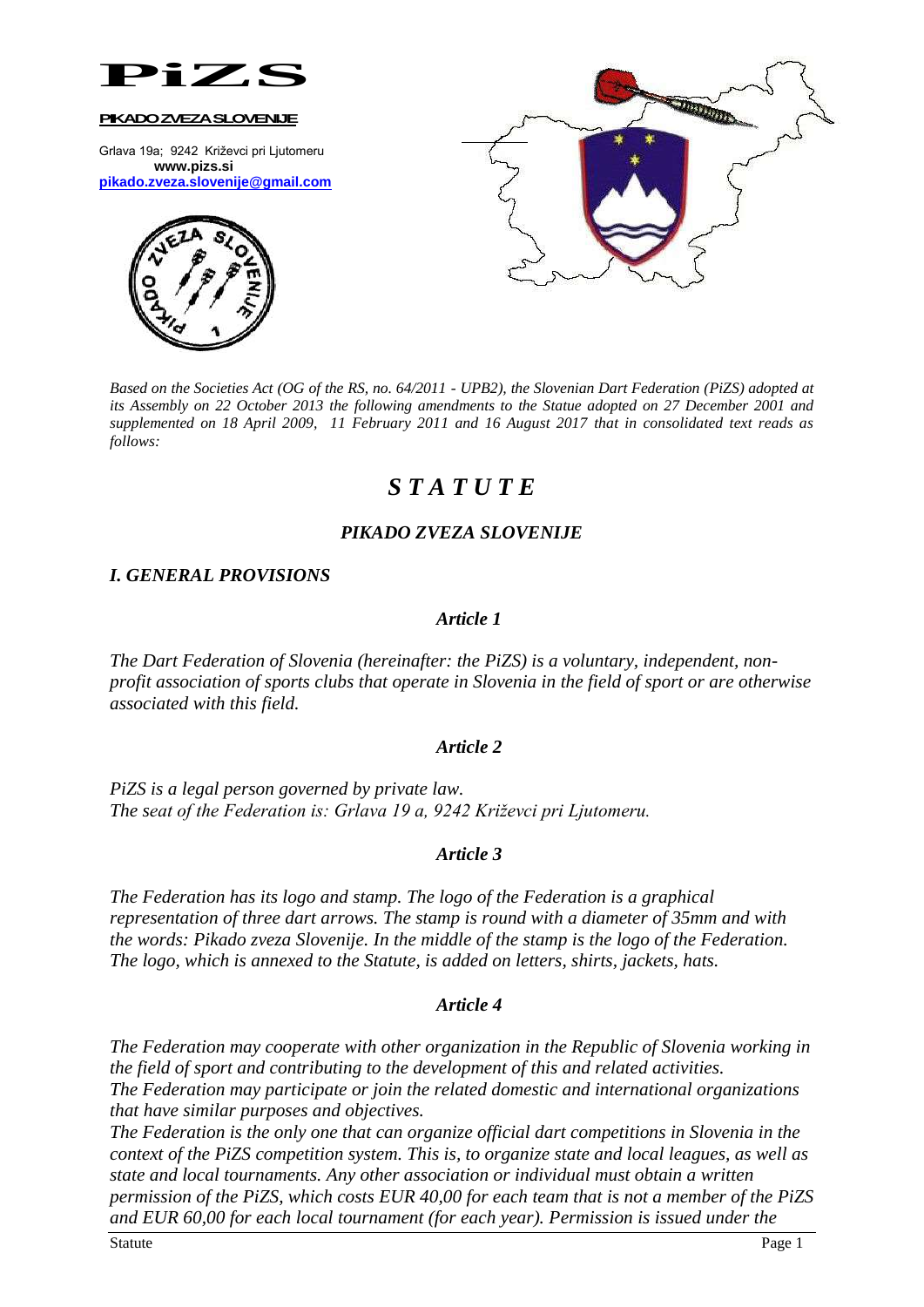

Grlava 19a; 9242 Križevci pri Ljutomeru **www.pizs.si [pikado.zveza.slovenije@gmail.com](mailto:pikado.zveza.slovenije@gmail.com)**





*Based on the Societies Act (OG of the RS, no. 64/2011 - UPB2), the Slovenian Dart Federation (PiZS) adopted at its Assembly on 22 October 2013 the following amendments to the Statue adopted on 27 December 2001 and supplemented on 18 April 2009, 11 February 2011 and 16 August 2017 that in consolidated text reads as follows:*

# *S T A T U T E*

# *PIKADO ZVEZA SLOVENIJE*

# *I. GENERAL PROVISIONS*

# *Article 1*

*The Dart Federation of Slovenia (hereinafter: the PiZS) is a voluntary, independent, nonprofit association of sports clubs that operate in Slovenia in the field of sport or are otherwise associated with this field.*

### *Article 2*

*PiZS is a legal person governed by private law. The seat of the Federation is: Grlava 19 a, 9242 Križevci pri Ljutomeru.*

# *Article 3*

*The Federation has its logo and stamp. The logo of the Federation is a graphical representation of three dart arrows. The stamp is round with a diameter of 35mm and with the words: Pikado zveza Slovenije. In the middle of the stamp is the logo of the Federation. The logo, which is annexed to the Statute, is added on letters, shirts, jackets, hats.*

# *Article 4*

*The Federation may cooperate with other organization in the Republic of Slovenia working in the field of sport and contributing to the development of this and related activities. The Federation may participate or join the related domestic and international organizations that have similar purposes and objectives.*

*The Federation is the only one that can organize official dart competitions in Slovenia in the context of the PiZS competition system. This is, to organize state and local leagues, as well as state and local tournaments. Any other association or individual must obtain a written permission of the PiZS, which costs EUR 40,00 for each team that is not a member of the PiZS and EUR 60,00 for each local tournament (for each year). Permission is issued under the*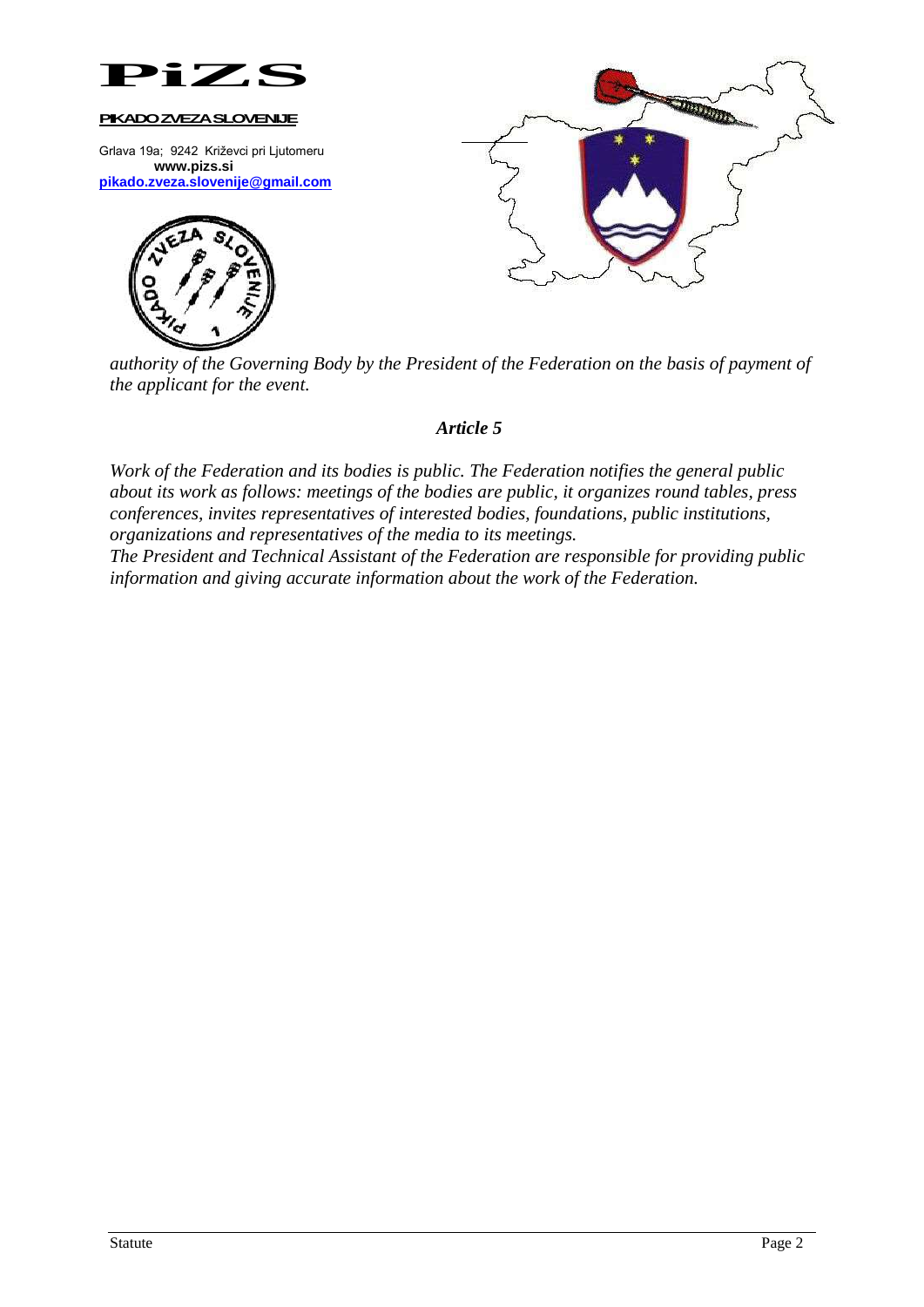

Grlava 19a; 9242 Križevci pri Ljutomeru **www.pizs.si [pikado.zveza.slovenije@gmail.com](mailto:pikado.zveza.slovenije@gmail.com)**





*authority of the Governing Body by the President of the Federation on the basis of payment of the applicant for the event.*

### *Article 5*

*Work of the Federation and its bodies is public. The Federation notifies the general public about its work as follows: meetings of the bodies are public, it organizes round tables, press conferences, invites representatives of interested bodies, foundations, public institutions, organizations and representatives of the media to its meetings.*

*The President and Technical Assistant of the Federation are responsible for providing public information and giving accurate information about the work of the Federation.*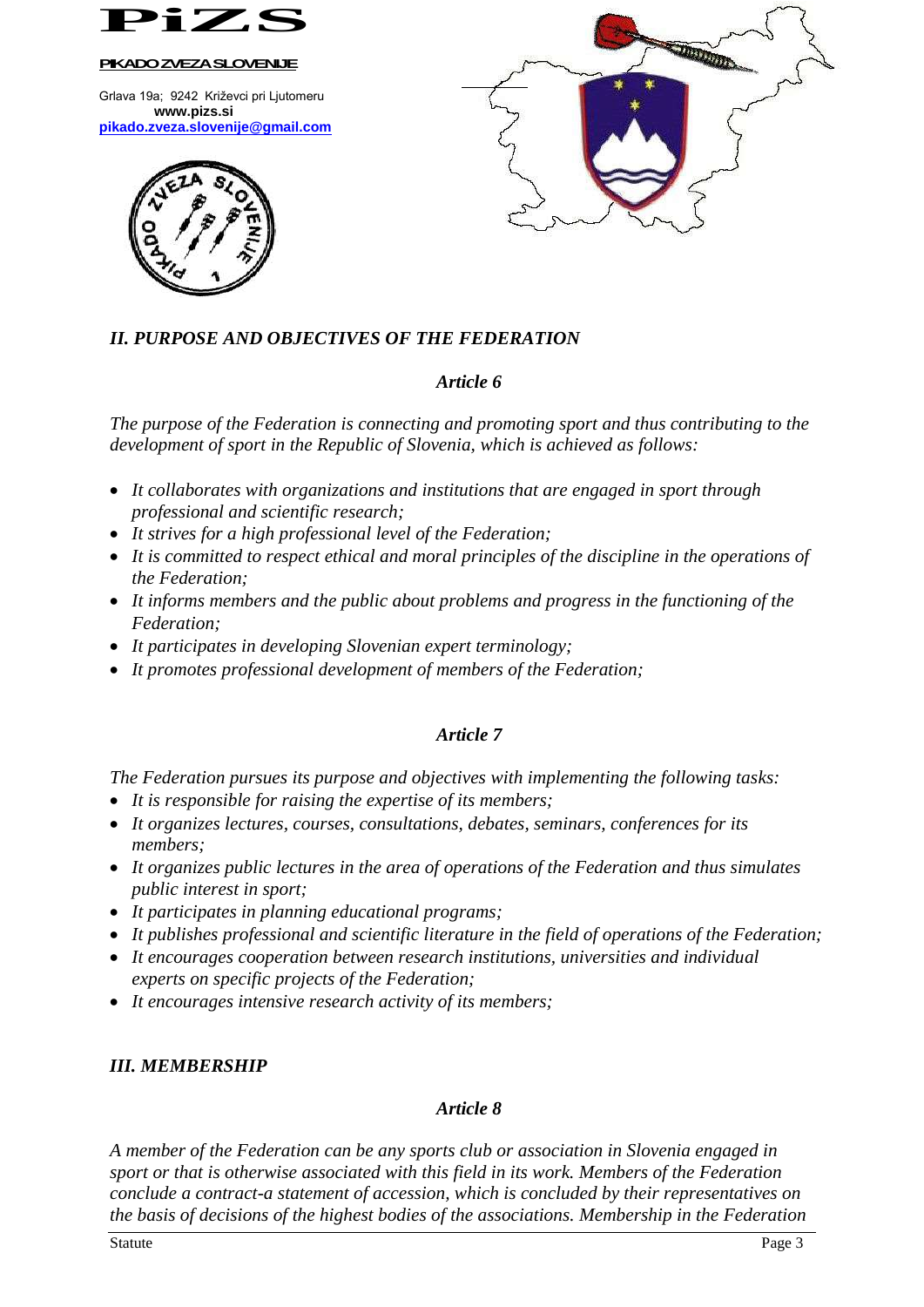

Grlava 19a; 9242 Križevci pri Ljutomeru **www.pizs.si [pikado.zveza.slovenije@gmail.com](mailto:pikado.zveza.slovenije@gmail.com)**





# *II. PURPOSE AND OBJECTIVES OF THE FEDERATION*

### *Article 6*

*The purpose of the Federation is connecting and promoting sport and thus contributing to the development of sport in the Republic of Slovenia, which is achieved as follows:*

- *It collaborates with organizations and institutions that are engaged in sport through professional and scientific research;*
- *It strives for a high professional level of the Federation;*
- *It is committed to respect ethical and moral principles of the discipline in the operations of the Federation;*
- *It informs members and the public about problems and progress in the functioning of the Federation;*
- *It participates in developing Slovenian expert terminology;*
- *It promotes professional development of members of the Federation;*

# *Article 7*

*The Federation pursues its purpose and objectives with implementing the following tasks:*

- *It is responsible for raising the expertise of its members;*
- *It organizes lectures, courses, consultations, debates, seminars, conferences for its members;*
- *It organizes public lectures in the area of operations of the Federation and thus simulates public interest in sport;*
- *It participates in planning educational programs;*
- *It publishes professional and scientific literature in the field of operations of the Federation;*
- *It encourages cooperation between research institutions, universities and individual experts on specific projects of the Federation;*
- *It encourages intensive research activity of its members;*

# *III. MEMBERSHIP*

### *Article 8*

*A member of the Federation can be any sports club or association in Slovenia engaged in sport or that is otherwise associated with this field in its work. Members of the Federation conclude a contract-a statement of accession, which is concluded by their representatives on the basis of decisions of the highest bodies of the associations. Membership in the Federation*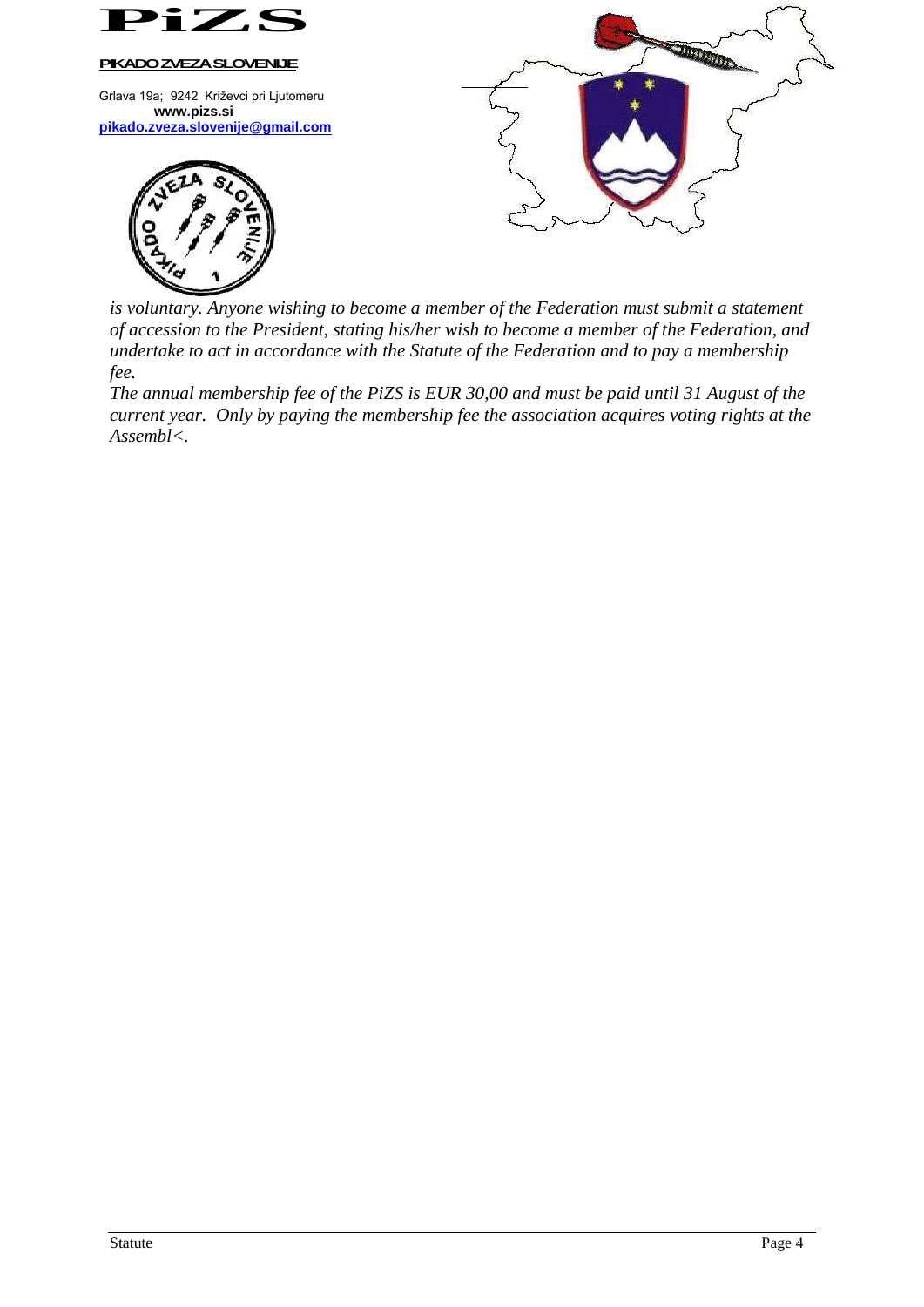

Grlava 19a; 9242 Križevci pri Ljutomeru **www.pizs.si [pikado.zveza.slovenije@gmail.com](mailto:pikado.zveza.slovenije@gmail.com)**





*is voluntary. Anyone wishing to become a member of the Federation must submit a statement of accession to the President, stating his/her wish to become a member of the Federation, and undertake to act in accordance with the Statute of the Federation and to pay a membership fee.*

*The annual membership fee of the PiZS is EUR 30,00 and must be paid until 31 August of the current year. Only by paying the membership fee the association acquires voting rights at the Assembl<.*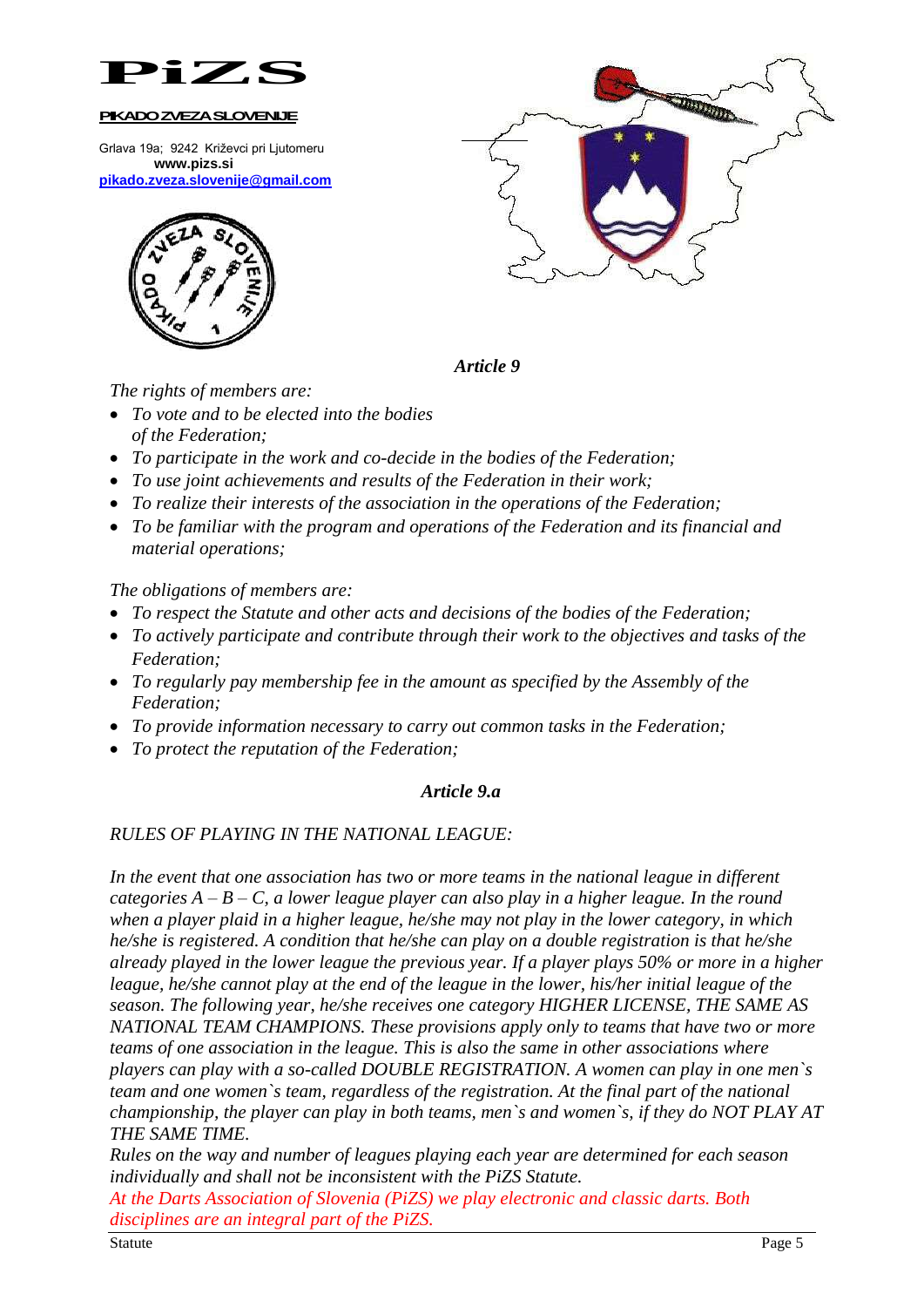

Grlava 19a; 9242 Križevci pri Ljutomeru **www.pizs.si [pikado.zveza.slovenije@gmail.com](mailto:pikado.zveza.slovenije@gmail.com)**





*Article 9*

*The rights of members are:*

- *To vote and to be elected into the bodies of the Federation;*
- *To participate in the work and co-decide in the bodies of the Federation;*
- *To use joint achievements and results of the Federation in their work;*
- *To realize their interests of the association in the operations of the Federation;*
- *To be familiar with the program and operations of the Federation and its financial and material operations;*

*The obligations of members are:*

- *To respect the Statute and other acts and decisions of the bodies of the Federation;*
- *To actively participate and contribute through their work to the objectives and tasks of the Federation;*
- *To regularly pay membership fee in the amount as specified by the Assembly of the Federation;*
- *To provide information necessary to carry out common tasks in the Federation;*
- *To protect the reputation of the Federation;*

# *Article 9.a*

# *RULES OF PLAYING IN THE NATIONAL LEAGUE:*

*In the event that one association has two or more teams in the national league in different categories A – B – C, a lower league player can also play in a higher league. In the round when a player plaid in a higher league, he/she may not play in the lower category, in which he/she is registered. A condition that he/she can play on a double registration is that he/she already played in the lower league the previous year. If a player plays 50% or more in a higher league, he/she cannot play at the end of the league in the lower, his/her initial league of the season. The following year, he/she receives one category HIGHER LICENSE, THE SAME AS NATIONAL TEAM CHAMPIONS. These provisions apply only to teams that have two or more teams of one association in the league. This is also the same in other associations where players can play with a so-called DOUBLE REGISTRATION. A women can play in one men`s team and one women`s team, regardless of the registration. At the final part of the national championship, the player can play in both teams, men`s and women`s, if they do NOT PLAY AT THE SAME TIME.*

*Rules on the way and number of leagues playing each year are determined for each season individually and shall not be inconsistent with the PiZS Statute.*

*At the Darts Association of Slovenia (PiZS) we play electronic and classic darts. Both disciplines are an integral part of the PiZS.*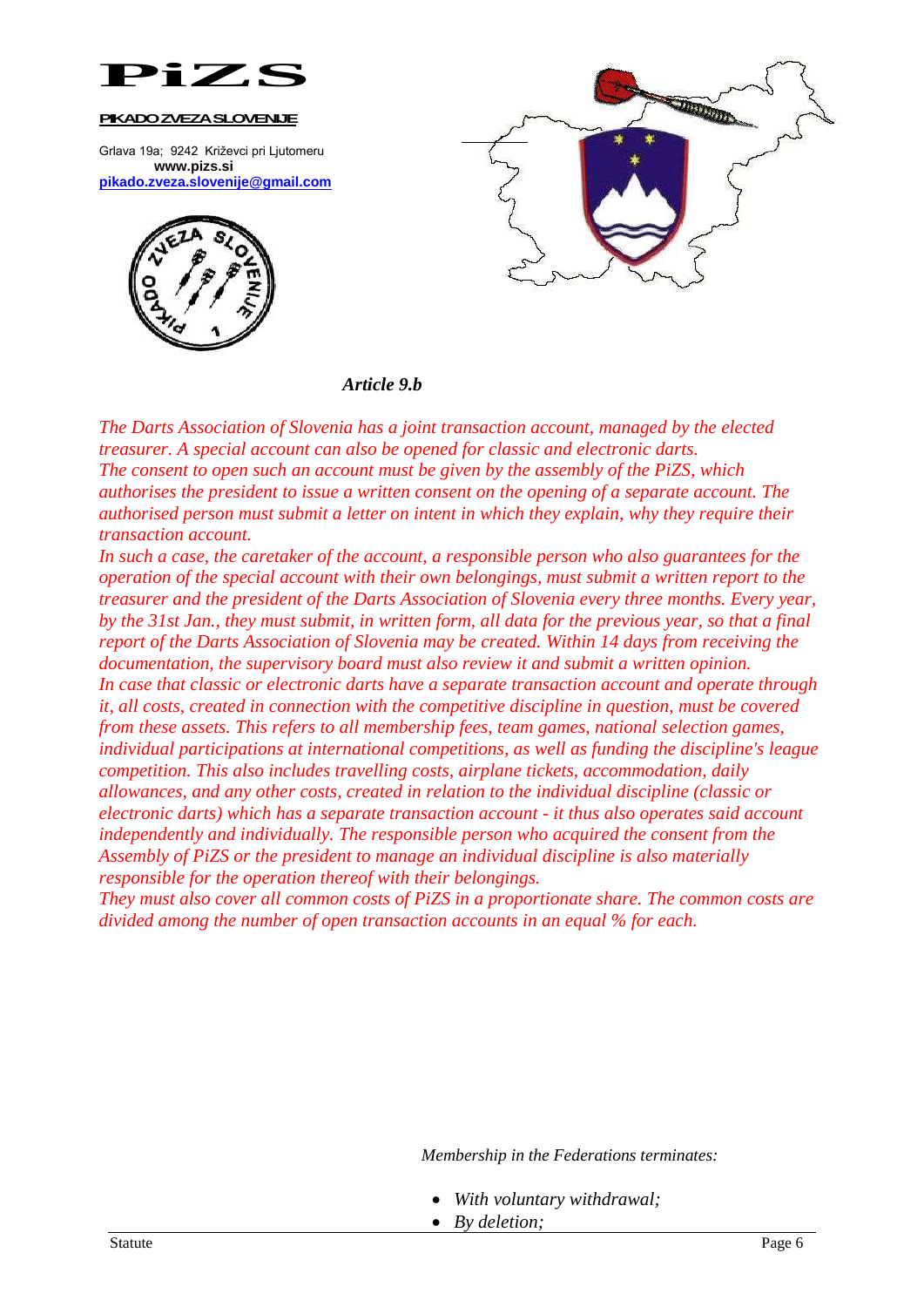

Grlava 19a; 9242 Križevci pri Ljutomeru **www.pizs.si [pikado.zveza.slovenije@gmail.com](mailto:pikado.zveza.slovenije@gmail.com)**





### *Article 9.b*

*The Darts Association of Slovenia has a joint transaction account, managed by the elected treasurer. A special account can also be opened for classic and electronic darts. The consent to open such an account must be given by the assembly of the PiZS, which authorises the president to issue a written consent on the opening of a separate account. The authorised person must submit a letter on intent in which they explain, why they require their transaction account.*

*In such a case, the caretaker of the account, a responsible person who also guarantees for the operation of the special account with their own belongings, must submit a written report to the treasurer and the president of the Darts Association of Slovenia every three months. Every year, by the 31st Jan., they must submit, in written form, all data for the previous year, so that a final report of the Darts Association of Slovenia may be created. Within 14 days from receiving the documentation, the supervisory board must also review it and submit a written opinion. In case that classic or electronic darts have a separate transaction account and operate through it, all costs, created in connection with the competitive discipline in question, must be covered from these assets. This refers to all membership fees, team games, national selection games, individual participations at international competitions, as well as funding the discipline's league competition. This also includes travelling costs, airplane tickets, accommodation, daily allowances, and any other costs, created in relation to the individual discipline (classic or electronic darts) which has a separate transaction account - it thus also operates said account independently and individually. The responsible person who acquired the consent from the Assembly of PiZS or the president to manage an individual discipline is also materially responsible for the operation thereof with their belongings.*

*They must also cover all common costs of PiZS in a proportionate share. The common costs are divided among the number of open transaction accounts in an equal % for each.*

*Membership in the Federations terminates:*

- *With voluntary withdrawal;*
- *By deletion;*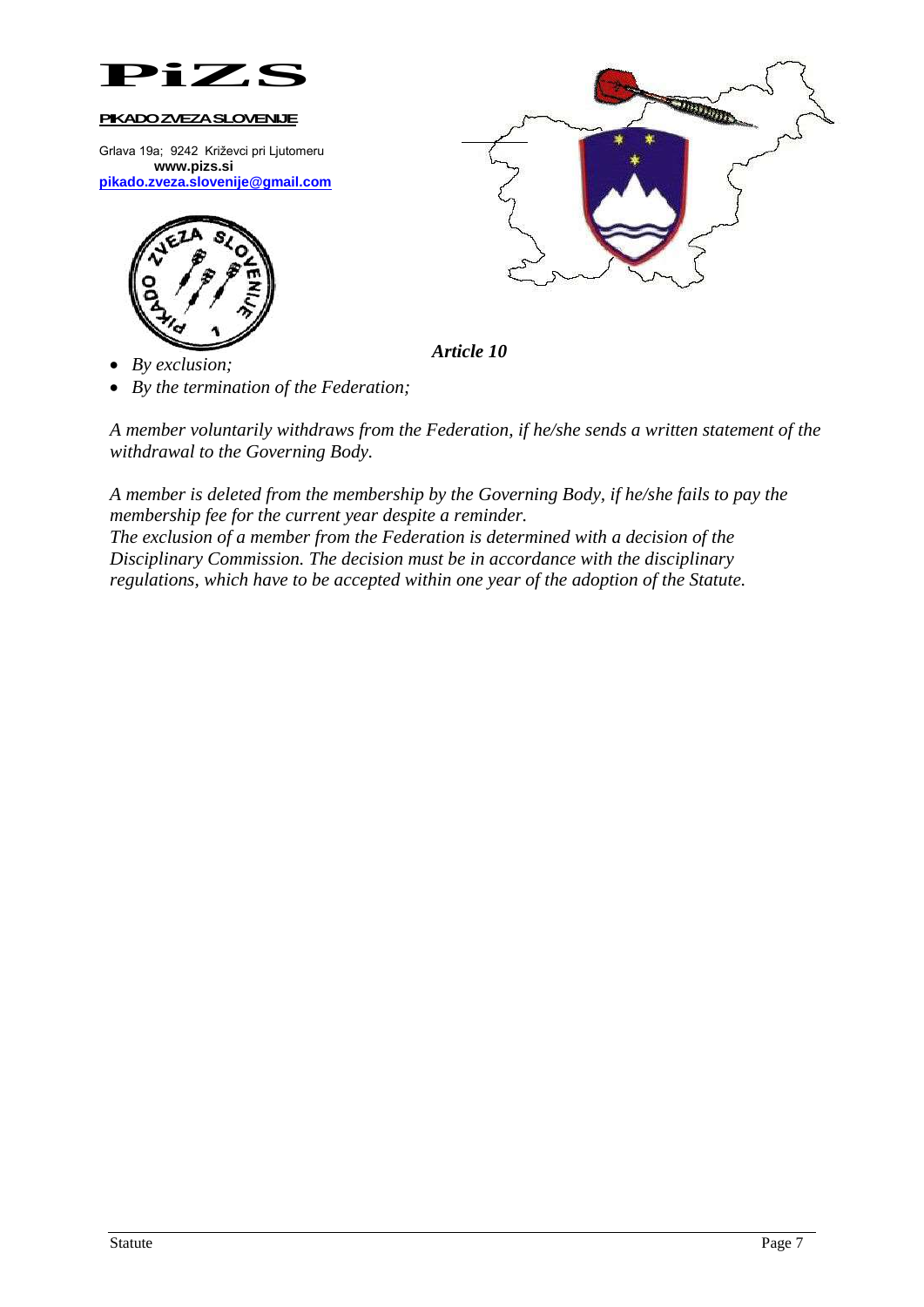

Grlava 19a; 9242 Križevci pri Ljutomeru **www.pizs.si [pikado.zveza.slovenije@gmail.com](mailto:pikado.zveza.slovenije@gmail.com)**



*By exclusion;*

*By the termination of the Federation;*

*A member voluntarily withdraws from the Federation, if he/she sends a written statement of the withdrawal to the Governing Body.*

*A member is deleted from the membership by the Governing Body, if he/she fails to pay the membership fee for the current year despite a reminder.*

*The exclusion of a member from the Federation is determined with a decision of the Disciplinary Commission. The decision must be in accordance with the disciplinary regulations, which have to be accepted within one year of the adoption of the Statute.*



*Article 10*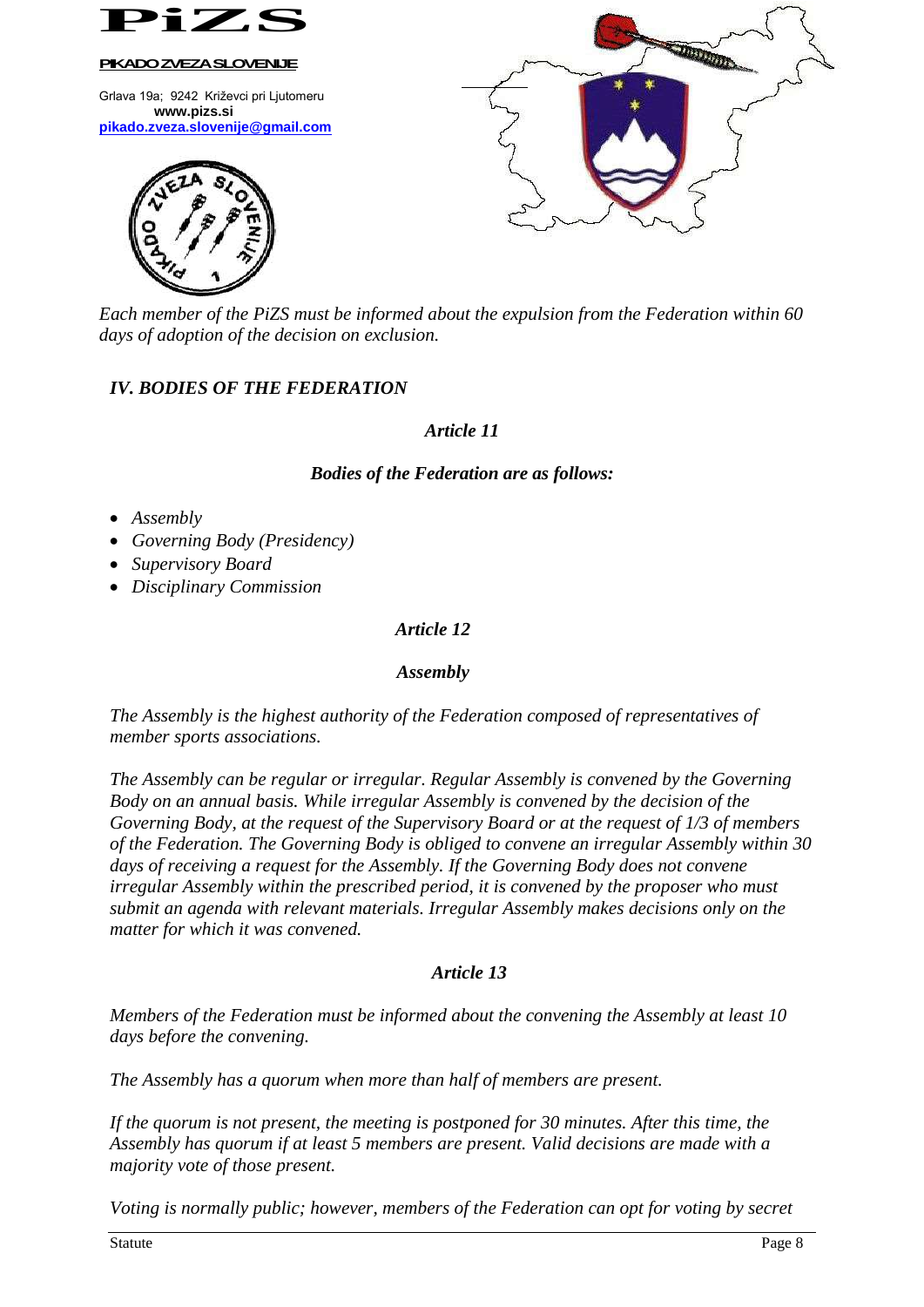

Grlava 19a; 9242 Križevci pri Ljutomeru **www.pizs.si [pikado.zveza.slovenije@gmail.com](mailto:pikado.zveza.slovenije@gmail.com)**





*Each member of the PiZS must be informed about the expulsion from the Federation within 60 days of adoption of the decision on exclusion.*

# *IV. BODIES OF THE FEDERATION*

### *Article 11*

# *Bodies of the Federation are as follows:*

- *Assembly*
- *Governing Body (Presidency)*
- *Supervisory Board*
- *Disciplinary Commission*

# *Article 12*

### *Assembly*

*The Assembly is the highest authority of the Federation composed of representatives of member sports associations.*

*The Assembly can be regular or irregular. Regular Assembly is convened by the Governing Body on an annual basis. While irregular Assembly is convened by the decision of the Governing Body, at the request of the Supervisory Board or at the request of 1/3 of members of the Federation. The Governing Body is obliged to convene an irregular Assembly within 30 days of receiving a request for the Assembly. If the Governing Body does not convene irregular Assembly within the prescribed period, it is convened by the proposer who must submit an agenda with relevant materials. Irregular Assembly makes decisions only on the matter for which it was convened.*

# *Article 13*

*Members of the Federation must be informed about the convening the Assembly at least 10 days before the convening.*

*The Assembly has a quorum when more than half of members are present.*

*If the quorum is not present, the meeting is postponed for 30 minutes. After this time, the Assembly has quorum if at least 5 members are present. Valid decisions are made with a majority vote of those present.*

*Voting is normally public; however, members of the Federation can opt for voting by secret*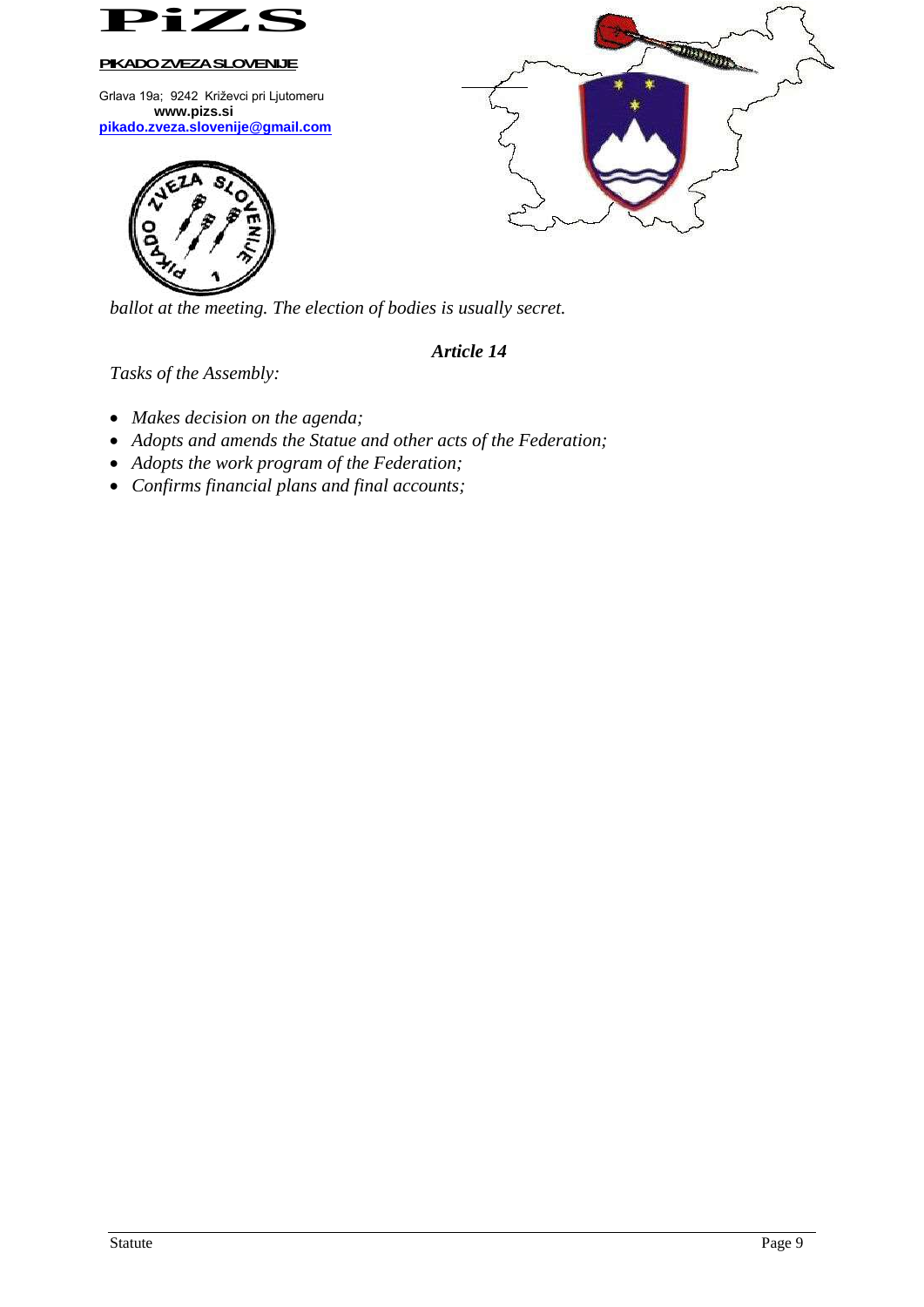

Grlava 19a; 9242 Križevci pri Ljutomeru **www.pizs.si [pikado.zveza.slovenije@gmail.com](mailto:pikado.zveza.slovenije@gmail.com)**





*ballot at the meeting. The election of bodies is usually secret.*

# *Article 14*

*Tasks of the Assembly:*

- *Makes decision on the agenda;*
- *Adopts and amends the Statue and other acts of the Federation;*
- *Adopts the work program of the Federation;*
- *Confirms financial plans and final accounts;*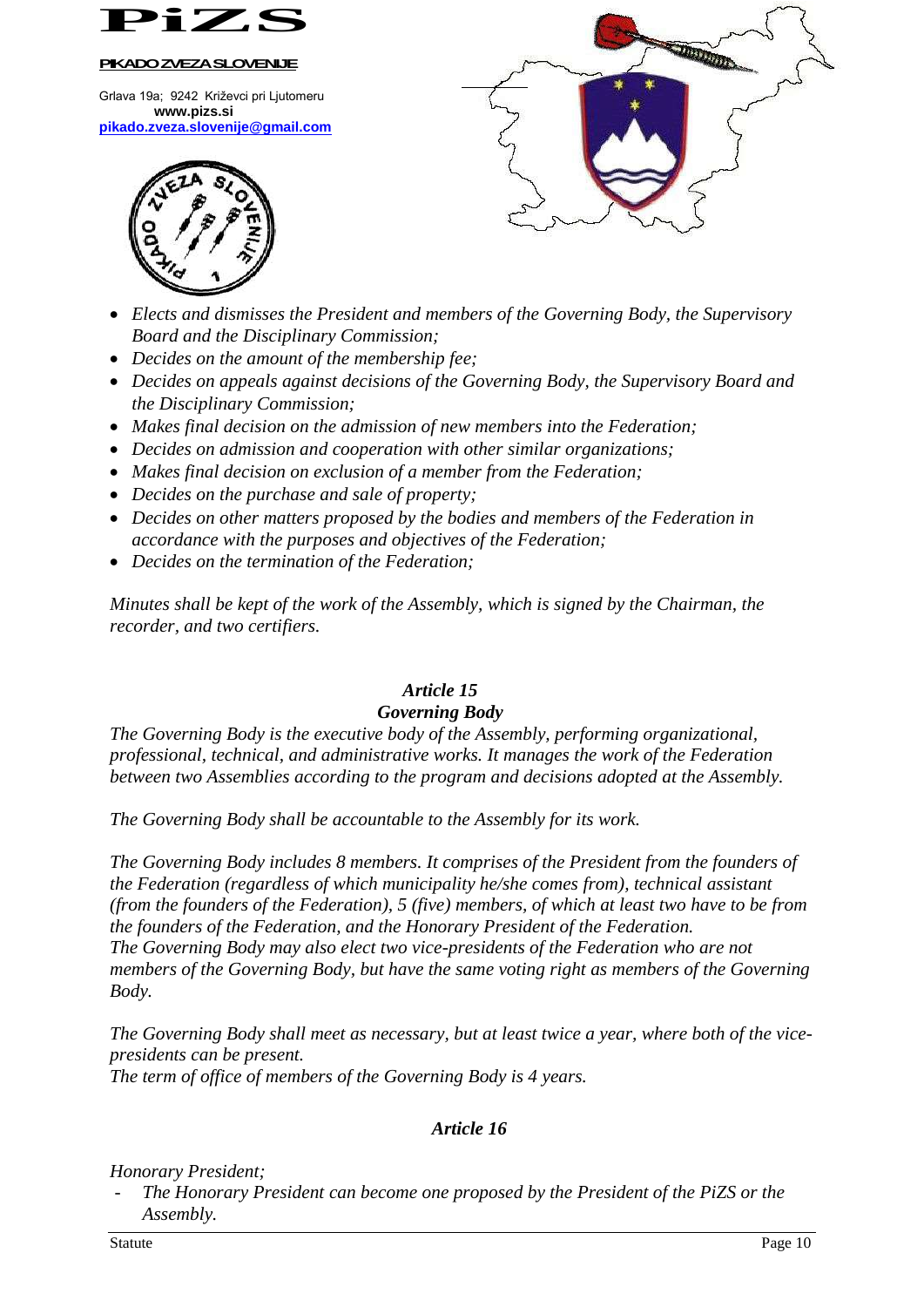

Grlava 19a; 9242 Križevci pri Ljutomeru **www.pizs.si [pikado.zveza.slovenije@gmail.com](mailto:pikado.zveza.slovenije@gmail.com)**





- *Elects and dismisses the President and members of the Governing Body, the Supervisory Board and the Disciplinary Commission;*
- *Decides on the amount of the membership fee;*
- *Decides on appeals against decisions of the Governing Body, the Supervisory Board and the Disciplinary Commission;*
- *Makes final decision on the admission of new members into the Federation;*
- *Decides on admission and cooperation with other similar organizations;*
- *Makes final decision on exclusion of a member from the Federation;*
- *Decides on the purchase and sale of property;*
- *Decides on other matters proposed by the bodies and members of the Federation in accordance with the purposes and objectives of the Federation;*
- *Decides on the termination of the Federation;*

*Minutes shall be kept of the work of the Assembly, which is signed by the Chairman, the recorder, and two certifiers.*

### *Article 15 Governing Body*

*The Governing Body is the executive body of the Assembly, performing organizational, professional, technical, and administrative works. It manages the work of the Federation between two Assemblies according to the program and decisions adopted at the Assembly.*

*The Governing Body shall be accountable to the Assembly for its work.*

*The Governing Body includes 8 members. It comprises of the President from the founders of the Federation (regardless of which municipality he/she comes from), technical assistant (from the founders of the Federation), 5 (five) members, of which at least two have to be from the founders of the Federation, and the Honorary President of the Federation. The Governing Body may also elect two vice-presidents of the Federation who are not members of the Governing Body, but have the same voting right as members of the Governing Body.*

*The Governing Body shall meet as necessary, but at least twice a year, where both of the vicepresidents can be present. The term of office of members of the Governing Body is 4 years.*

# *Article 16*

*Honorary President;*

- *The Honorary President can become one proposed by the President of the PiZS or the Assembly.*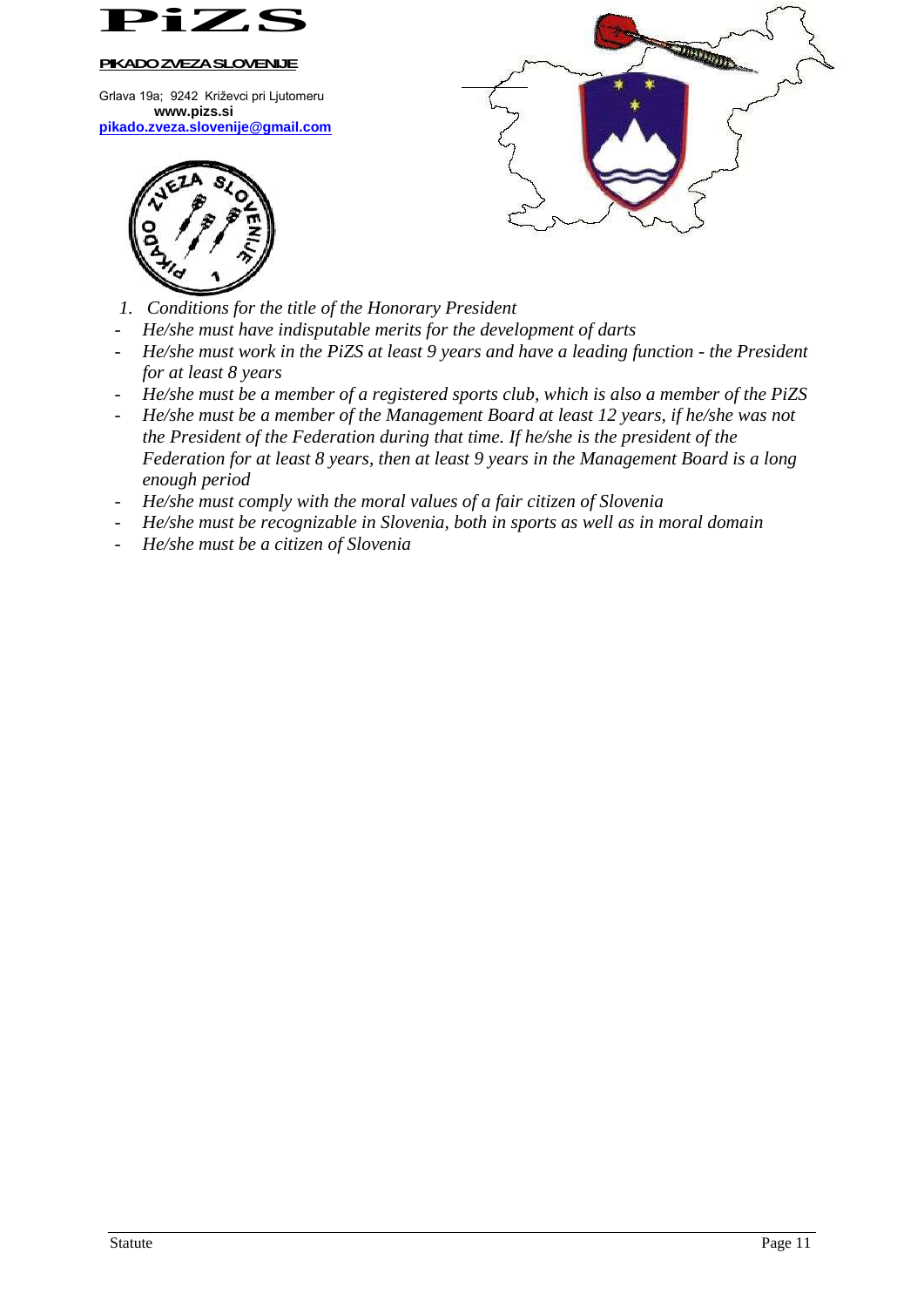

Grlava 19a; 9242 Križevci pri Ljutomeru **www.pizs.si [pikado.zveza.slovenije@gmail.com](mailto:pikado.zveza.slovenije@gmail.com)**





- *1. Conditions for the title of the Honorary President*
- *He/she must have indisputable merits for the development of darts*
- *He/she must work in the PiZS at least 9 years and have a leading function - the President for at least 8 years*
- *He/she must be a member of a registered sports club, which is also a member of the PiZS*
- *He/she must be a member of the Management Board at least 12 years, if he/she was not the President of the Federation during that time. If he/she is the president of the Federation for at least 8 years, then at least 9 years in the Management Board is a long enough period*
- *He/she must comply with the moral values of a fair citizen of Slovenia*
- *He/she must be recognizable in Slovenia, both in sports as well as in moral domain*
- *He/she must be a citizen of Slovenia*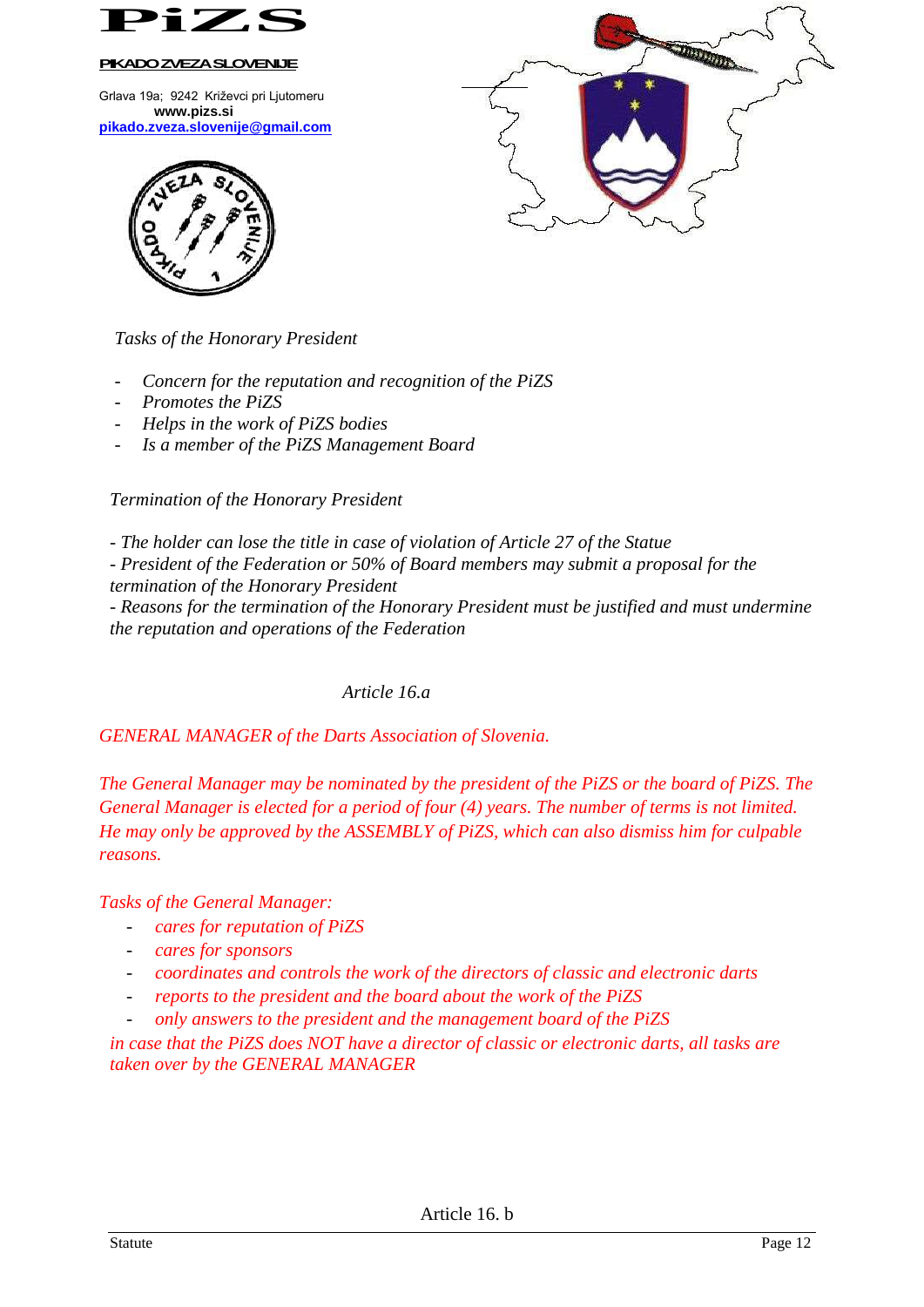

Grlava 19a; 9242 Križevci pri Ljutomeru **www.pizs.si [pikado.zveza.slovenije@gmail.com](mailto:pikado.zveza.slovenije@gmail.com)**





*Tasks of the Honorary President*

- *Concern for the reputation and recognition of the PiZS*
- *Promotes the PiZS*
- *Helps in the work of PiZS bodies*
- *Is a member of the PiZS Management Board*

*Termination of the Honorary President*

*- The holder can lose the title in case of violation of Article 27 of the Statue*

*- President of the Federation or 50% of Board members may submit a proposal for the termination of the Honorary President*

*- Reasons for the termination of the Honorary President must be justified and must undermine the reputation and operations of the Federation*

# *Article 16.a*

*GENERAL MANAGER of the Darts Association of Slovenia.*

*The General Manager may be nominated by the president of the PiZS or the board of PiZS. The General Manager is elected for a period of four (4) years. The number of terms is not limited. He may only be approved by the ASSEMBLY of PiZS, which can also dismiss him for culpable reasons.*

*Tasks of the General Manager:*

- *cares for reputation of PiZS*
- *cares for sponsors*
- *coordinates and controls the work of the directors of classic and electronic darts*
- *reports to the president and the board about the work of the PiZS*
- *only answers to the president and the management board of the PiZS*

*in case that the PiZS does NOT have a director of classic or electronic darts, all tasks are taken over by the GENERAL MANAGER*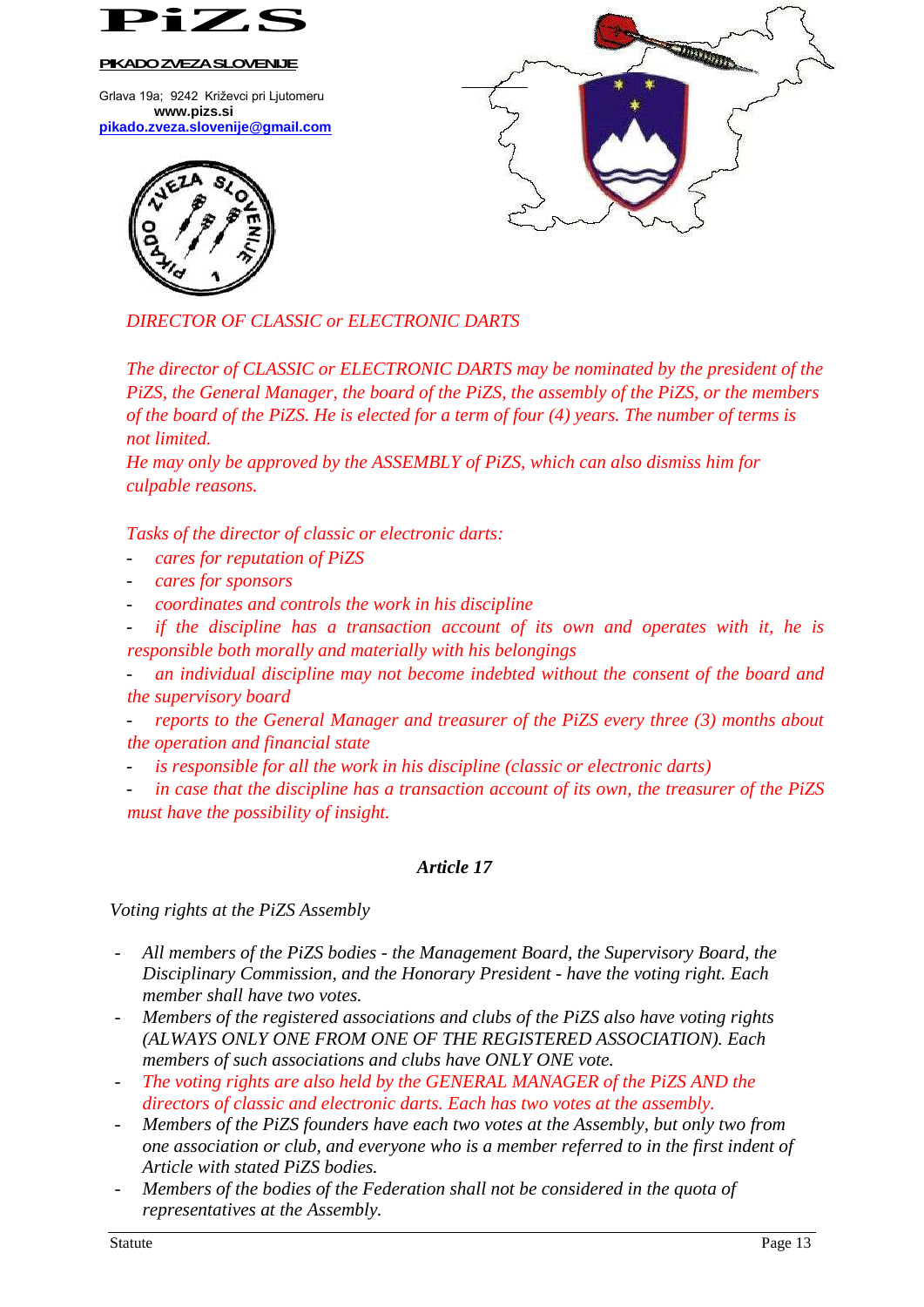

Grlava 19a; 9242 Križevci pri Ljutomeru **www.pizs.si [pikado.zveza.slovenije@gmail.com](mailto:pikado.zveza.slovenije@gmail.com)**





*DIRECTOR OF CLASSIC or ELECTRONIC DARTS*

*The director of CLASSIC or ELECTRONIC DARTS may be nominated by the president of the PiZS, the General Manager, the board of the PiZS, the assembly of the PiZS, or the members of the board of the PiZS. He is elected for a term of four (4) years. The number of terms is not limited.*

*He may only be approved by the ASSEMBLY of PiZS, which can also dismiss him for culpable reasons.*

*Tasks of the director of classic or electronic darts:*

- *cares for reputation of PiZS*
- *cares for sponsors*
- *coordinates and controls the work in his discipline*
- *if the discipline has a transaction account of its own and operates with it, he is responsible both morally and materially with his belongings*

- *an individual discipline may not become indebted without the consent of the board and the supervisory board*

*reports to the General Manager and treasurer of the PiZS every three (3) months about the operation and financial state*

- is responsible for all the work in his discipline (classic or electronic darts)
- in case that the discipline has a transaction account of its own, the treasurer of the PiZS *must have the possibility of insight.*

### *Article 17*

*Voting rights at the PiZS Assembly*

- *All members of the PiZS bodies - the Management Board, the Supervisory Board, the Disciplinary Commission, and the Honorary President - have the voting right. Each member shall have two votes.*
- *Members of the registered associations and clubs of the PiZS also have voting rights (ALWAYS ONLY ONE FROM ONE OF THE REGISTERED ASSOCIATION). Each members of such associations and clubs have ONLY ONE vote.*
- *The voting rights are also held by the GENERAL MANAGER of the PiZS AND the directors of classic and electronic darts. Each has two votes at the assembly.*
- *Members of the PiZS founders have each two votes at the Assembly, but only two from one association or club, and everyone who is a member referred to in the first indent of Article with stated PiZS bodies.*
- Members of the bodies of the Federation shall not be considered in the quota of *representatives at the Assembly.*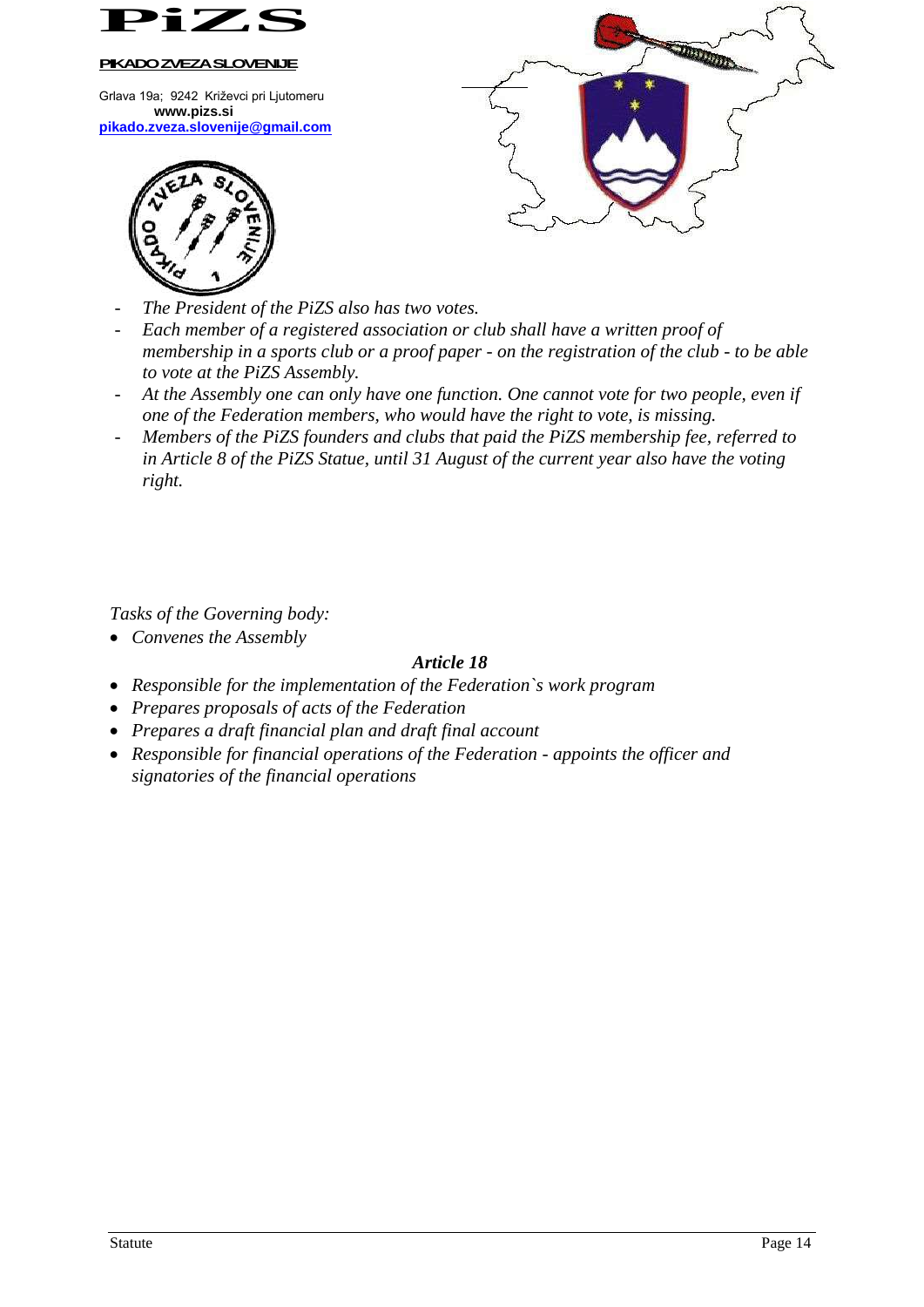

Grlava 19a; 9242 Križevci pri Ljutomeru **www.pizs.si [pikado.zveza.slovenije@gmail.com](mailto:pikado.zveza.slovenije@gmail.com)**





- The President of the PiZS also has two votes.
- *Each member of a registered association or club shall have a written proof of membership in a sports club or a proof paper - on the registration of the club - to be able to vote at the PiZS Assembly.*
- *At the Assembly one can only have one function. One cannot vote for two people, even if one of the Federation members, who would have the right to vote, is missing.*
- *Members of the PiZS founders and clubs that paid the PiZS membership fee, referred to in Article 8 of the PiZS Statue, until 31 August of the current year also have the voting right.*

*Tasks of the Governing body:*

*Convenes the Assembly*

## *Article 18*

- *Responsible for the implementation of the Federation`s work program*
- *Prepares proposals of acts of the Federation*
- *Prepares a draft financial plan and draft final account*
- *Responsible for financial operations of the Federation - appoints the officer and signatories of the financial operations*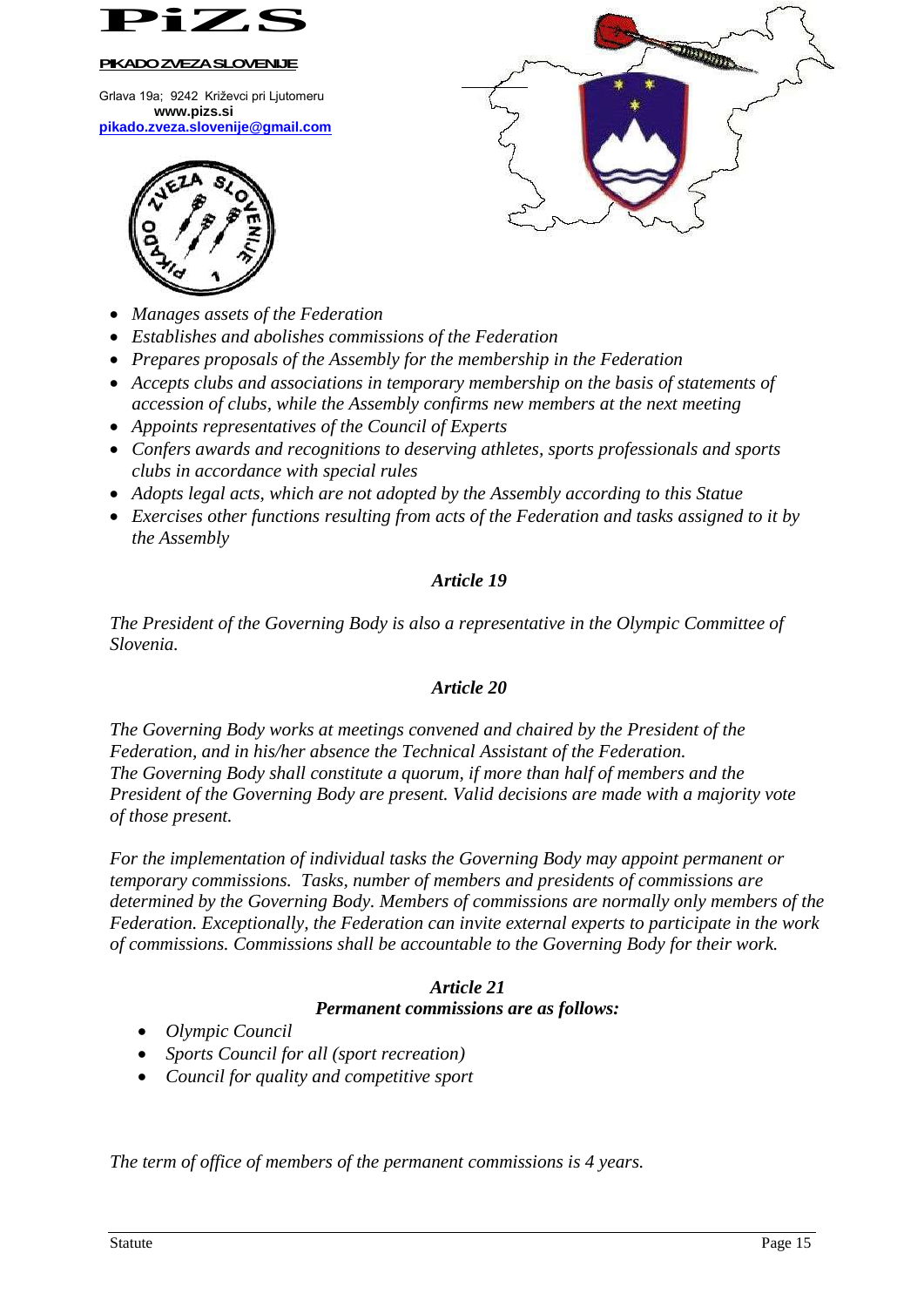

Grlava 19a; 9242 Križevci pri Ljutomeru **www.pizs.si [pikado.zveza.slovenije@gmail.com](mailto:pikado.zveza.slovenije@gmail.com)**



- *Manages assets of the Federation*
- *Establishes and abolishes commissions of the Federation*
- *Prepares proposals of the Assembly for the membership in the Federation*
- *Accepts clubs and associations in temporary membership on the basis of statements of accession of clubs, while the Assembly confirms new members at the next meeting*

 $\overline{a}$ 

**DOOD BOOT** 

- *Appoints representatives of the Council of Experts*
- *Confers awards and recognitions to deserving athletes, sports professionals and sports clubs in accordance with special rules*
- *Adopts legal acts, which are not adopted by the Assembly according to this Statue*
- *Exercises other functions resulting from acts of the Federation and tasks assigned to it by the Assembly*

### *Article 19*

*The President of the Governing Body is also a representative in the Olympic Committee of Slovenia.*

### *Article 20*

*The Governing Body works at meetings convened and chaired by the President of the Federation, and in his/her absence the Technical Assistant of the Federation. The Governing Body shall constitute a quorum, if more than half of members and the President of the Governing Body are present. Valid decisions are made with a majority vote of those present.*

*For the implementation of individual tasks the Governing Body may appoint permanent or temporary commissions. Tasks, number of members and presidents of commissions are determined by the Governing Body. Members of commissions are normally only members of the Federation. Exceptionally, the Federation can invite external experts to participate in the work of commissions. Commissions shall be accountable to the Governing Body for their work.*

### *Article 21 Permanent commissions are as follows:*

- *Olympic Council*
- *Sports Council for all (sport recreation)*
- *Council for quality and competitive sport*

*The term of office of members of the permanent commissions is 4 years.*

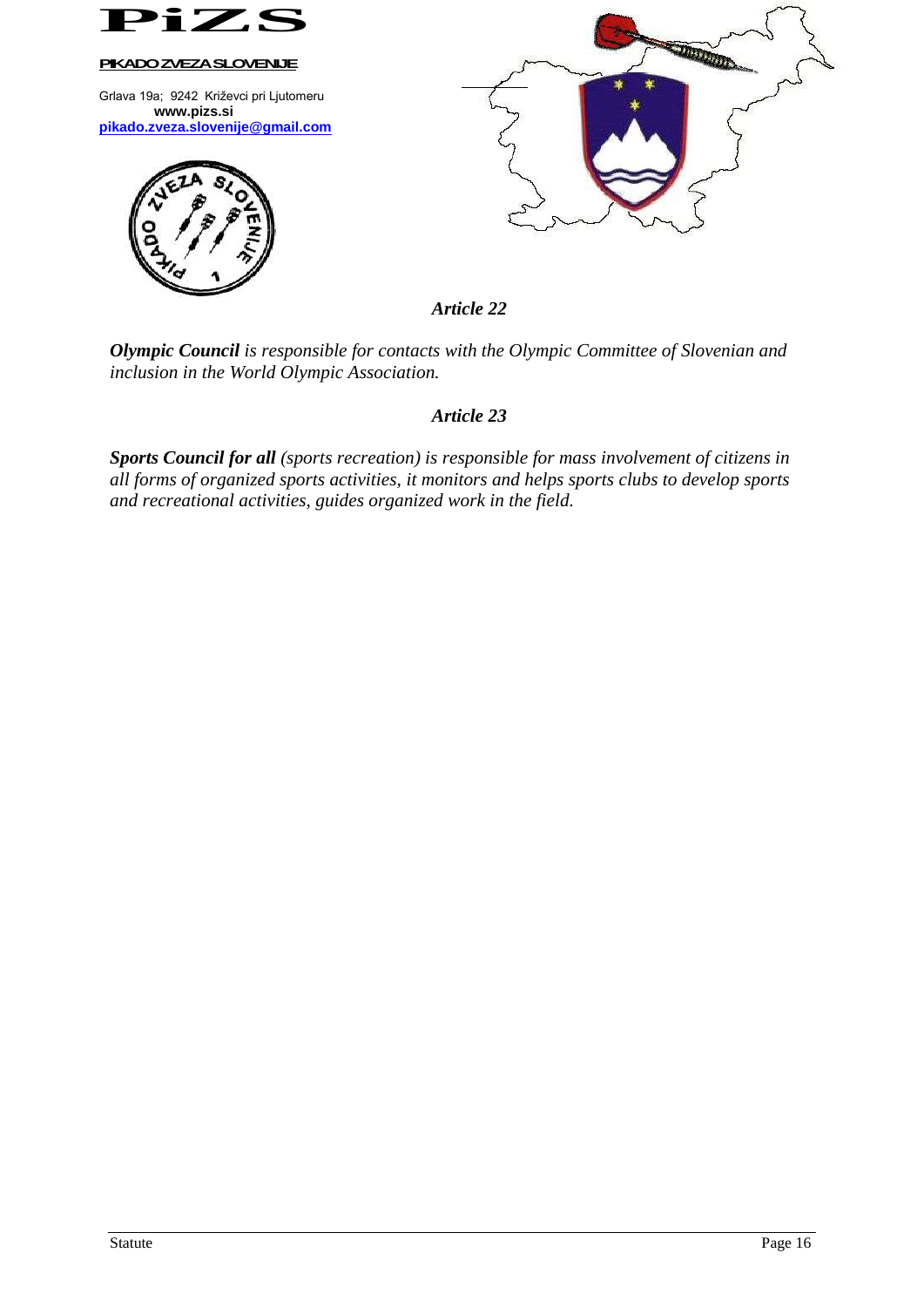

*Olympic Council is responsible for contacts with the Olympic Committee of Slovenian and inclusion in the World Olympic Association.*

### *Article 23*

*Sports Council for all (sports recreation) is responsible for mass involvement of citizens in all forms of organized sports activities, it monitors and helps sports clubs to develop sports and recreational activities, guides organized work in the field.*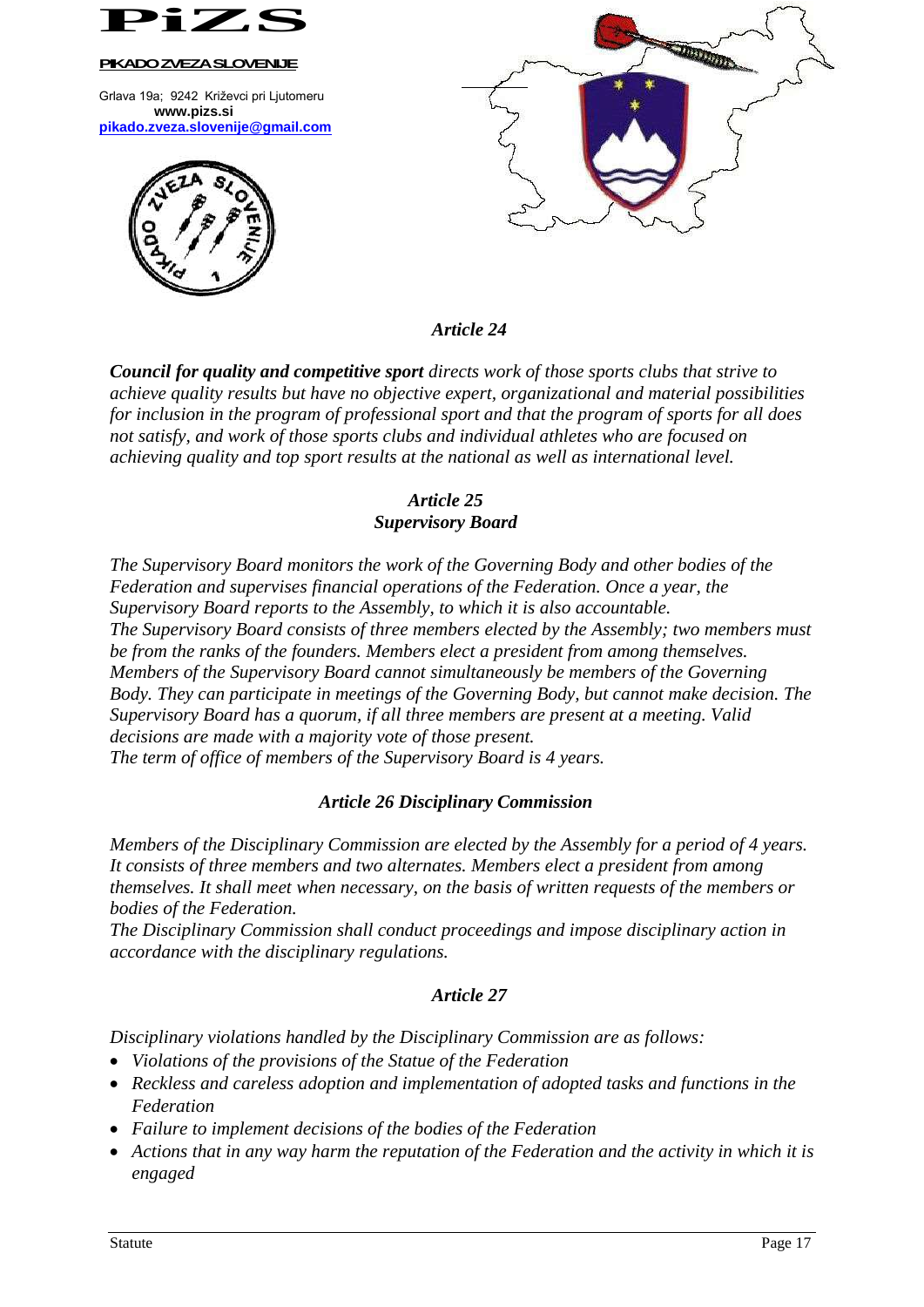

Grlava 19a; 9242 Križevci pri Ljutomeru **www.pizs.si [pikado.zveza.slovenije@gmail.com](mailto:pikado.zveza.slovenije@gmail.com)**





*Article 24*

*Council for quality and competitive sport directs work of those sports clubs that strive to achieve quality results but have no objective expert, organizational and material possibilities for inclusion in the program of professional sport and that the program of sports for all does not satisfy, and work of those sports clubs and individual athletes who are focused on achieving quality and top sport results at the national as well as international level.*

# *Article 25 Supervisory Board*

*The Supervisory Board monitors the work of the Governing Body and other bodies of the Federation and supervises financial operations of the Federation. Once a year, the Supervisory Board reports to the Assembly, to which it is also accountable. The Supervisory Board consists of three members elected by the Assembly; two members must be from the ranks of the founders. Members elect a president from among themselves. Members of the Supervisory Board cannot simultaneously be members of the Governing Body. They can participate in meetings of the Governing Body, but cannot make decision. The Supervisory Board has a quorum, if all three members are present at a meeting. Valid decisions are made with a majority vote of those present. The term of office of members of the Supervisory Board is 4 years.*

# *Article 26 Disciplinary Commission*

*Members of the Disciplinary Commission are elected by the Assembly for a period of 4 years. It consists of three members and two alternates. Members elect a president from among themselves. It shall meet when necessary, on the basis of written requests of the members or bodies of the Federation.*

*The Disciplinary Commission shall conduct proceedings and impose disciplinary action in accordance with the disciplinary regulations.*

# *Article 27*

*Disciplinary violations handled by the Disciplinary Commission are as follows:*

- *Violations of the provisions of the Statue of the Federation*
- *Reckless and careless adoption and implementation of adopted tasks and functions in the Federation*
- *Failure to implement decisions of the bodies of the Federation*
- *Actions that in any way harm the reputation of the Federation and the activity in which it is engaged*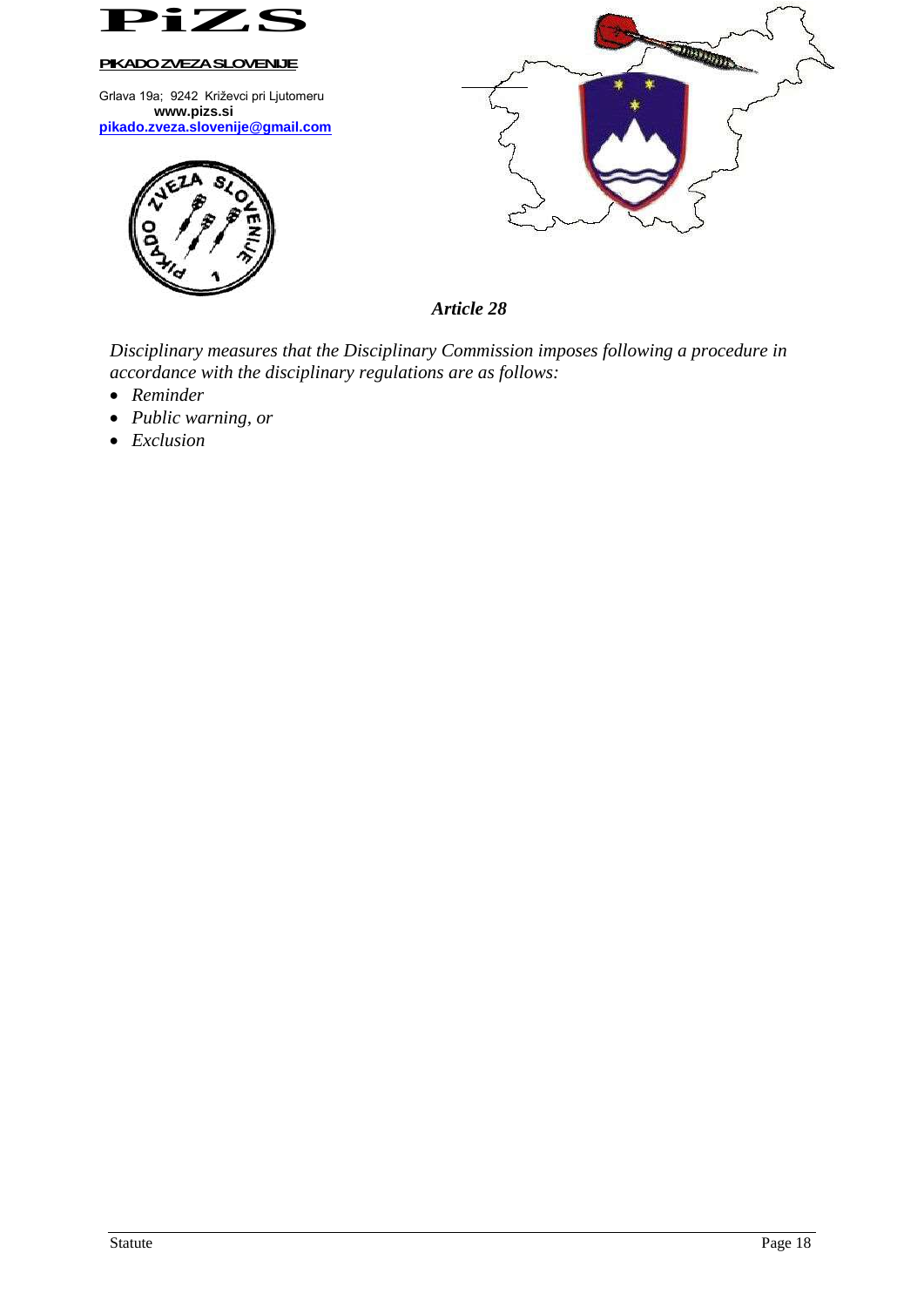

Grlava 19a; 9242 Križevci pri Ljutomeru **www.pizs.si [pikado.zveza.slovenije@gmail.com](mailto:pikado.zveza.slovenije@gmail.com)**





*Article 28*

*Disciplinary measures that the Disciplinary Commission imposes following a procedure in accordance with the disciplinary regulations are as follows:*

- *Reminder*
- *Public warning, or*
- *Exclusion*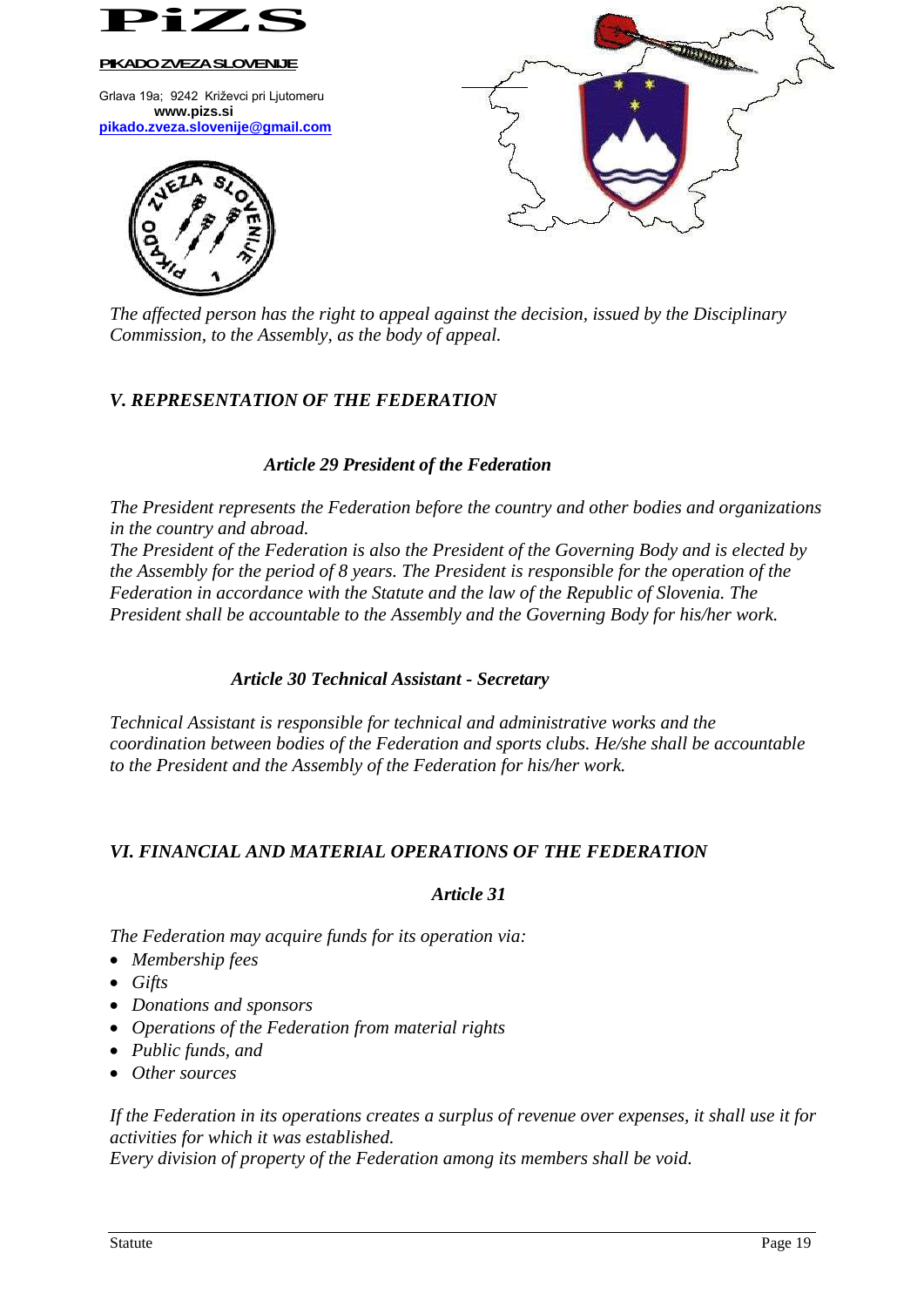

*The affected person has the right to appeal against the decision, issued by the Disciplinary Commission, to the Assembly, as the body of appeal.*

# *V. REPRESENTATION OF THE FEDERATION*

### *Article 29 President of the Federation*

*The President represents the Federation before the country and other bodies and organizations in the country and abroad.*

*The President of the Federation is also the President of the Governing Body and is elected by the Assembly for the period of 8 years. The President is responsible for the operation of the Federation in accordance with the Statute and the law of the Republic of Slovenia. The President shall be accountable to the Assembly and the Governing Body for his/her work.*

### *Article 30 Technical Assistant - Secretary*

*Technical Assistant is responsible for technical and administrative works and the coordination between bodies of the Federation and sports clubs. He/she shall be accountable to the President and the Assembly of the Federation for his/her work.*

# *VI. FINANCIAL AND MATERIAL OPERATIONS OF THE FEDERATION*

### *Article 31*

*The Federation may acquire funds for its operation via:*

- *Membership fees*
- *Gifts*
- *Donations and sponsors*
- *Operations of the Federation from material rights*
- *Public funds, and*
- *Other sources*

*If the Federation in its operations creates a surplus of revenue over expenses, it shall use it for activities for which it was established. Every division of property of the Federation among its members shall be void.*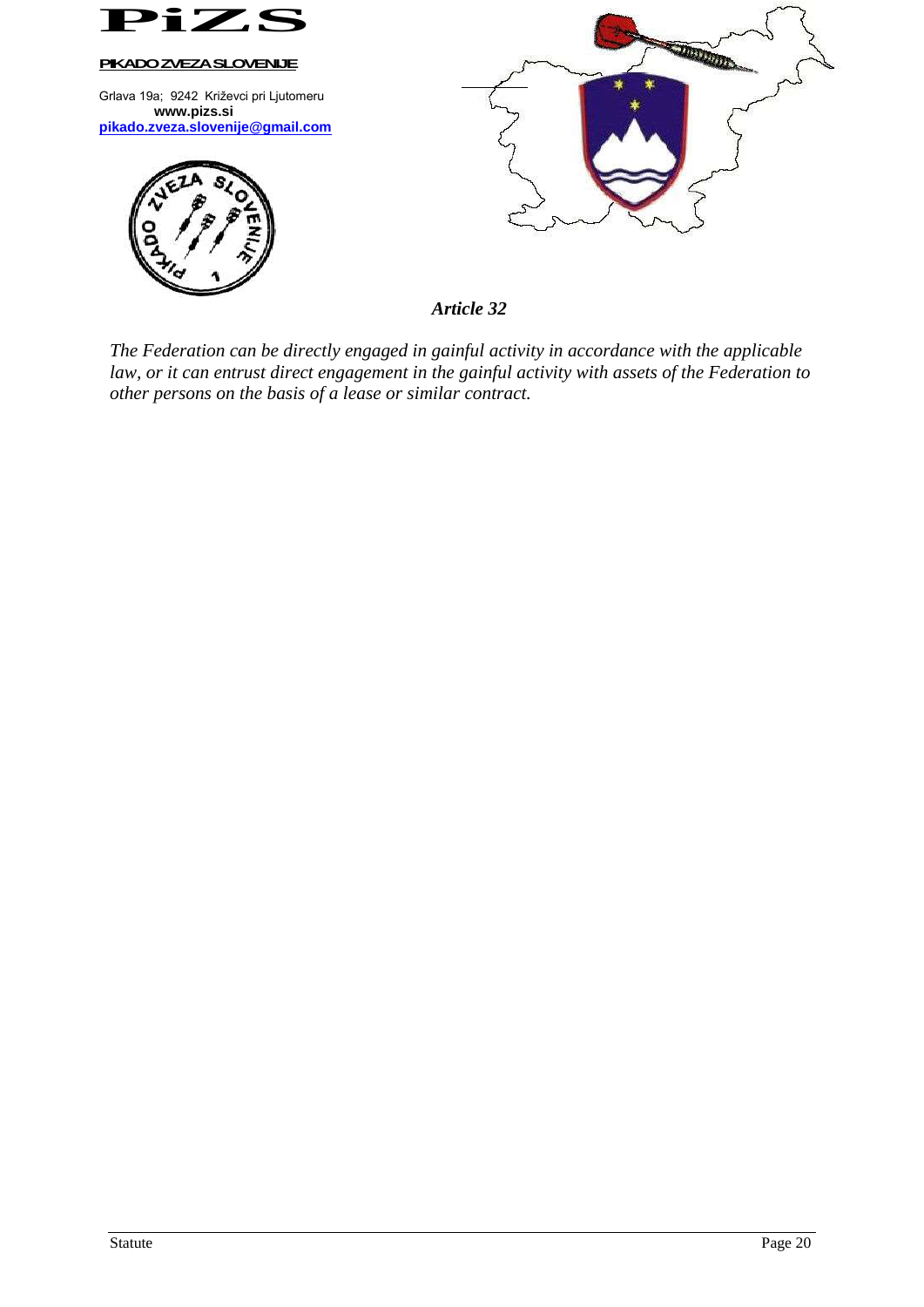

*Article 32*

*The Federation can be directly engaged in gainful activity in accordance with the applicable law, or it can entrust direct engagement in the gainful activity with assets of the Federation to other persons on the basis of a lease or similar contract.*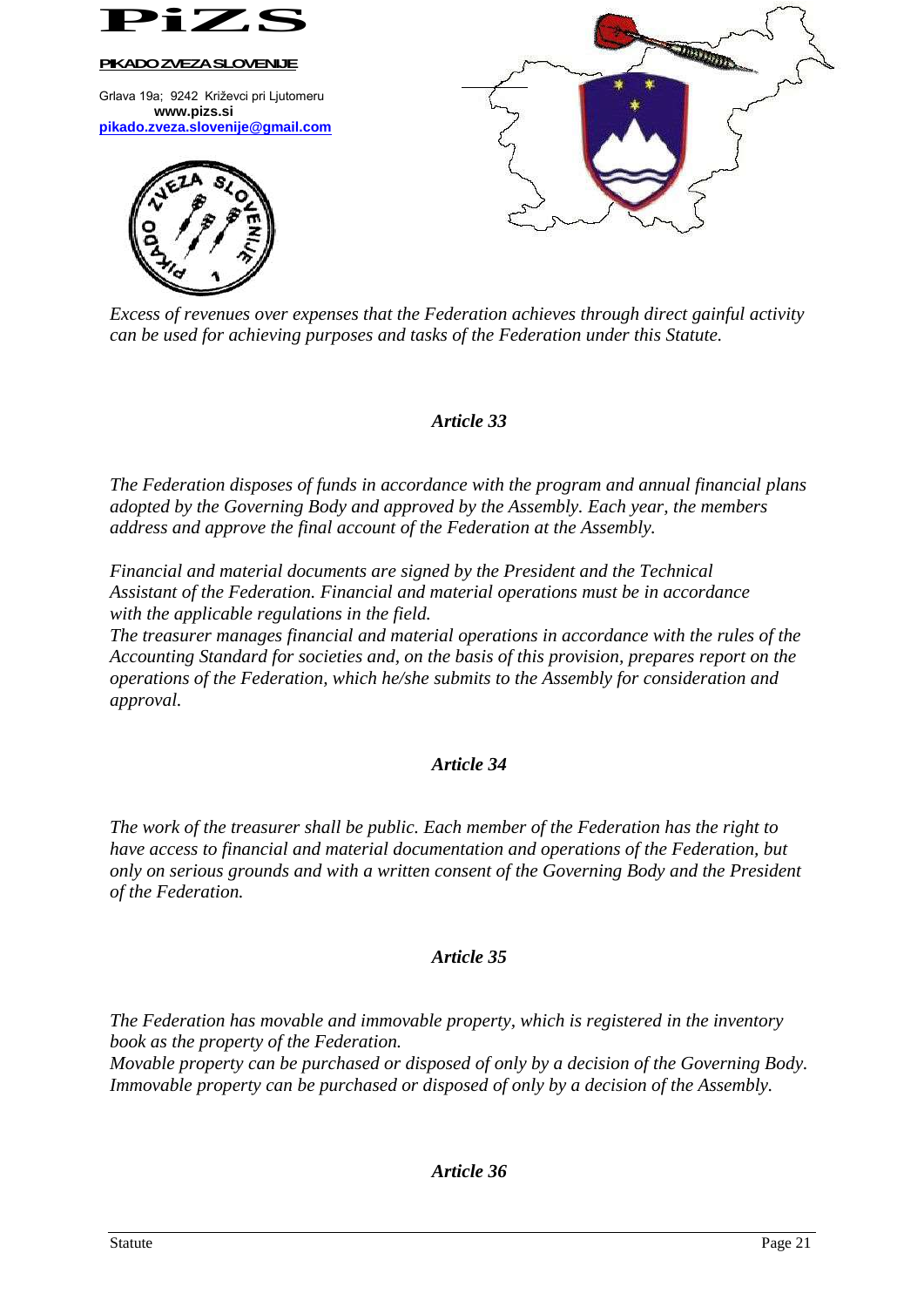

*Excess of revenues over expenses that the Federation achieves through direct gainful activity can be used for achieving purposes and tasks of the Federation under this Statute.*

### *Article 33*

*The Federation disposes of funds in accordance with the program and annual financial plans adopted by the Governing Body and approved by the Assembly. Each year, the members address and approve the final account of the Federation at the Assembly.*

*Financial and material documents are signed by the President and the Technical Assistant of the Federation. Financial and material operations must be in accordance with the applicable regulations in the field.*

*The treasurer manages financial and material operations in accordance with the rules of the Accounting Standard for societies and, on the basis of this provision, prepares report on the operations of the Federation, which he/she submits to the Assembly for consideration and approval.*

### *Article 34*

*The work of the treasurer shall be public. Each member of the Federation has the right to have access to financial and material documentation and operations of the Federation, but only on serious grounds and with a written consent of the Governing Body and the President of the Federation.*

### *Article 35*

*The Federation has movable and immovable property, which is registered in the inventory book as the property of the Federation.*

*Movable property can be purchased or disposed of only by a decision of the Governing Body. Immovable property can be purchased or disposed of only by a decision of the Assembly.*

### *Article 36*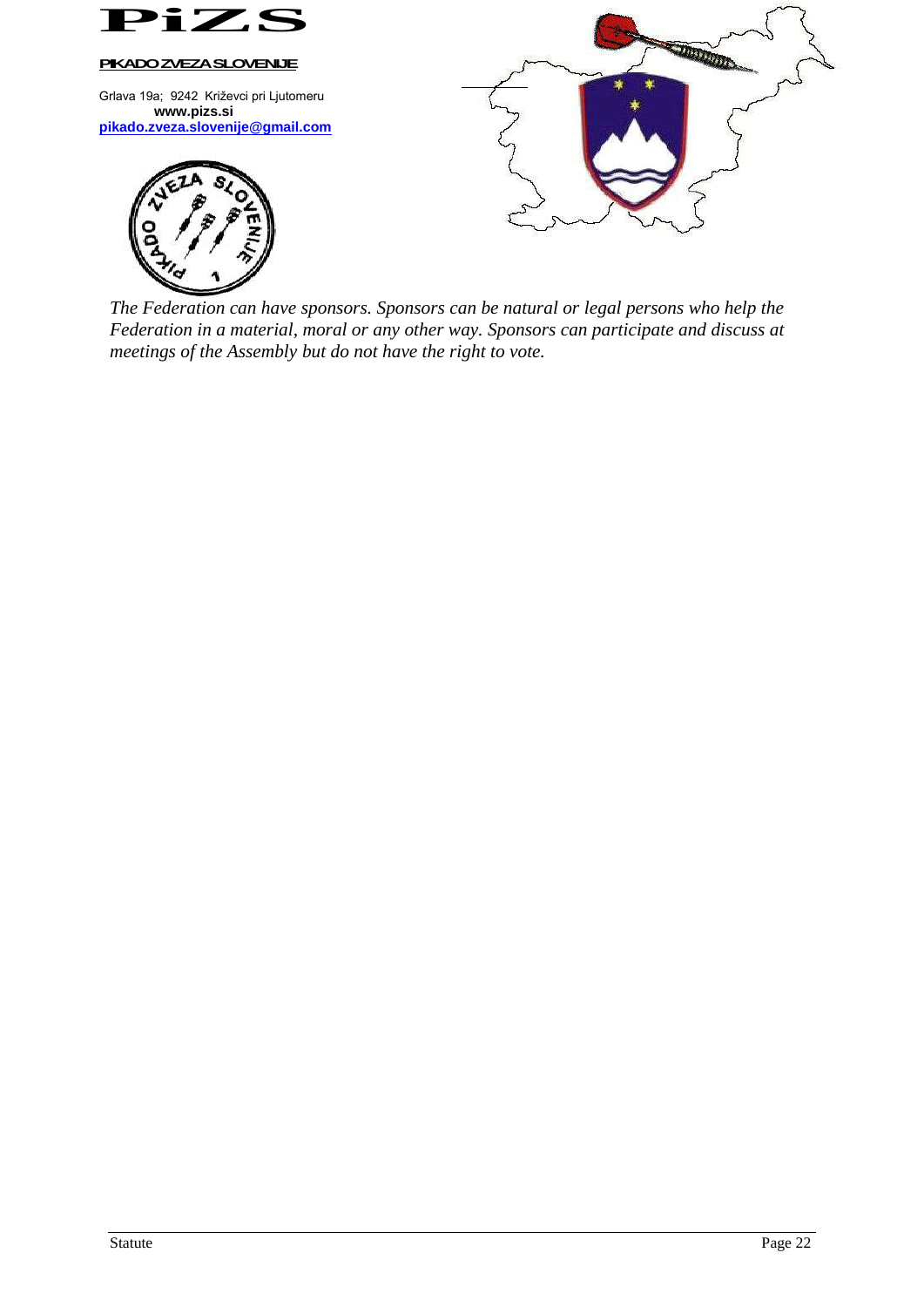

*The Federation can have sponsors. Sponsors can be natural or legal persons who help the Federation in a material, moral or any other way. Sponsors can participate and discuss at meetings of the Assembly but do not have the right to vote.*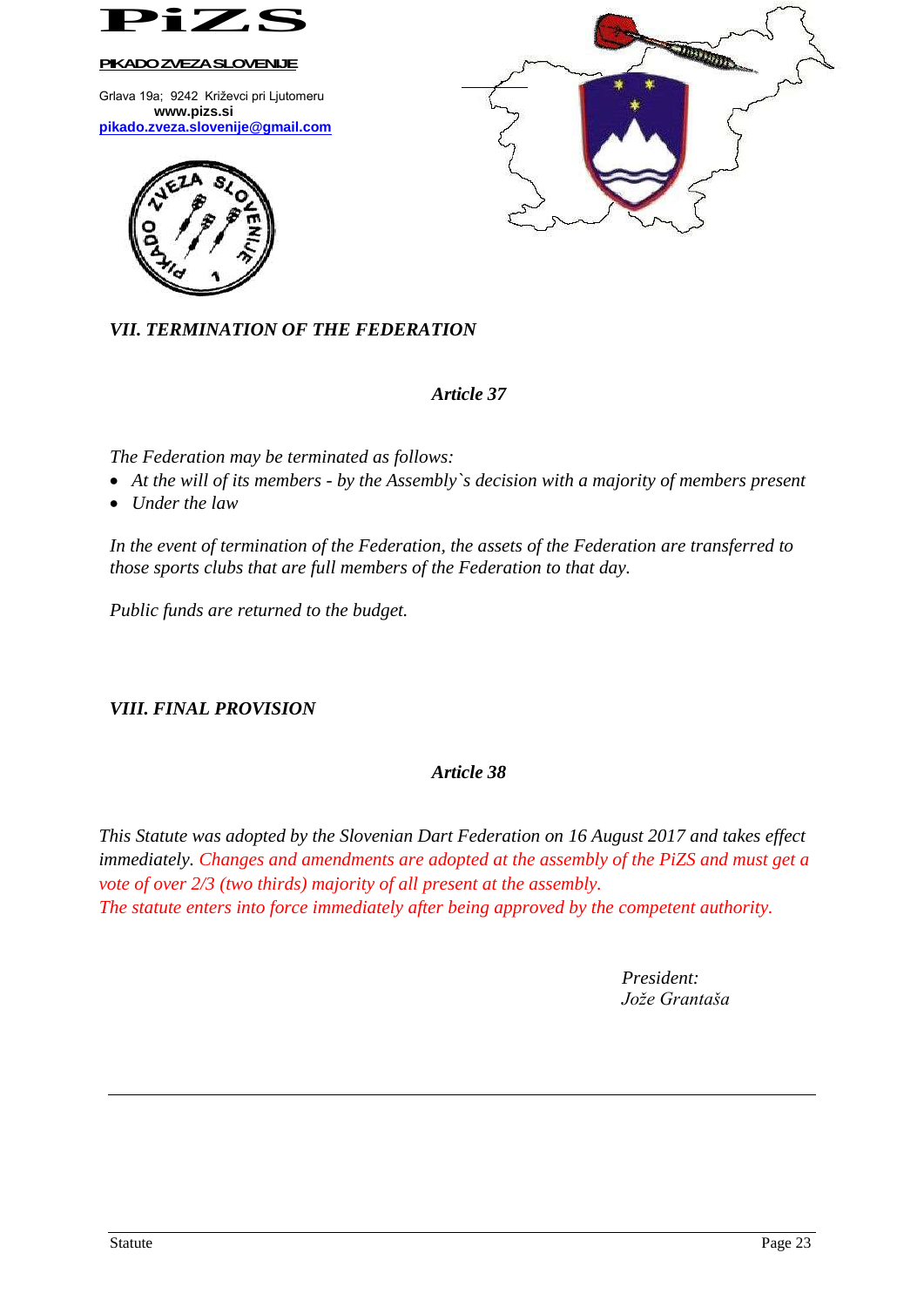

Grlava 19a; 9242 Križevci pri Ljutomeru **www.pizs.si [pikado.zveza.slovenije@gmail.com](mailto:pikado.zveza.slovenije@gmail.com)**





*Article 37*

 $\overline{a}$ 

*The Federation may be terminated as follows:*

- *At the will of its members - by the Assembly`s decision with a majority of members present*
- *Under the law*

*In the event of termination of the Federation, the assets of the Federation are transferred to those sports clubs that are full members of the Federation to that day.*

*Public funds are returned to the budget.*

# *VIII. FINAL PROVISION*

# *Article 38*

*This Statute was adopted by the Slovenian Dart Federation on 16 August 2017 and takes effect immediately. Changes and amendments are adopted at the assembly of the PiZS and must get a vote of over 2/3 (two thirds) majority of all present at the assembly. The statute enters into force immediately after being approved by the competent authority.*

> *President: Jože Grantaša*

**JANK AND**